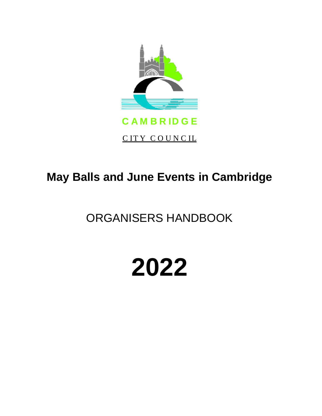

# **May Balls and June Events in Cambridge**

# ORGANISERS HANDBOOK

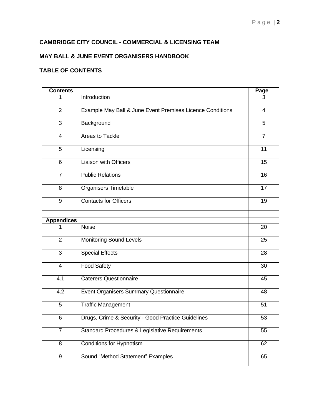## **CAMBRIDGE CITY COUNCIL - COMMERCIAL & LICENSING TEAM**

#### **MAY BALL & JUNE EVENT ORGANISERS HANDBOOK**

#### **TABLE OF CONTENTS**

| <b>Contents</b>   |                                                           | Page            |
|-------------------|-----------------------------------------------------------|-----------------|
|                   | Introduction                                              | З               |
| $\overline{2}$    | Example May Ball & June Event Premises Licence Conditions | $\overline{4}$  |
| 3                 | Background                                                | 5               |
| $\overline{4}$    | Areas to Tackle                                           | $\overline{7}$  |
| 5                 | Licensing                                                 | 11              |
| 6                 | <b>Liaison with Officers</b>                              | $\overline{15}$ |
| $\overline{7}$    | <b>Public Relations</b>                                   | 16              |
| 8                 | <b>Organisers Timetable</b>                               | 17              |
| 9                 | <b>Contacts for Officers</b>                              | 19              |
| <b>Appendices</b> |                                                           |                 |
|                   | <b>Noise</b>                                              | 20              |
| $\overline{2}$    | <b>Monitoring Sound Levels</b>                            | 25              |
| 3                 | <b>Special Effects</b>                                    | 28              |
| $\overline{4}$    | <b>Food Safety</b>                                        | 30              |
| 4.1               | <b>Caterers Questionnaire</b>                             | 45              |
| 4.2               | <b>Event Organisers Summary Questionnaire</b>             | 48              |
| 5                 | <b>Traffic Management</b>                                 | 51              |
| 6                 | Drugs, Crime & Security - Good Practice Guidelines        | 53              |
| $\overline{7}$    | Standard Procedures & Legislative Requirements            | 55              |
| 8                 | <b>Conditions for Hypnotism</b>                           | 62              |
| $\overline{9}$    | Sound "Method Statement" Examples                         | 65              |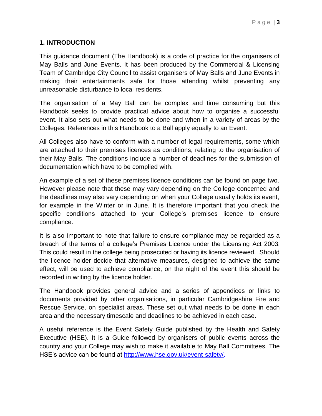#### **1. INTRODUCTION**

This guidance document (The Handbook) is a code of practice for the organisers of May Balls and June Events. It has been produced by the Commercial & Licensing Team of Cambridge City Council to assist organisers of May Balls and June Events in making their entertainments safe for those attending whilst preventing any unreasonable disturbance to local residents.

The organisation of a May Ball can be complex and time consuming but this Handbook seeks to provide practical advice about how to organise a successful event. It also sets out what needs to be done and when in a variety of areas by the Colleges. References in this Handbook to a Ball apply equally to an Event.

All Colleges also have to conform with a number of legal requirements, some which are attached to their premises licences as conditions, relating to the organisation of their May Balls. The conditions include a number of deadlines for the submission of documentation which have to be complied with.

An example of a set of these premises licence conditions can be found on page two. However please note that these may vary depending on the College concerned and the deadlines may also vary depending on when your College usually holds its event, for example in the Winter or in June. It is therefore important that you check the specific conditions attached to your College's premises licence to ensure compliance.

It is also important to note that failure to ensure compliance may be regarded as a breach of the terms of a college's Premises Licence under the Licensing Act 2003. This could result in the college being prosecuted or having its licence reviewed. Should the licence holder decide that alternative measures, designed to achieve the same effect, will be used to achieve compliance, on the night of the event this should be recorded in writing by the licence holder.

The Handbook provides general advice and a series of appendices or links to documents provided by other organisations, in particular Cambridgeshire Fire and Rescue Service, on specialist areas. These set out what needs to be done in each area and the necessary timescale and deadlines to be achieved in each case.

A useful reference is the Event Safety Guide published by the Health and Safety Executive (HSE). It is a Guide followed by organisers of public events across the country and your College may wish to make it available to May Ball Committees. The HSE's advice can be found at [http://www.hse.gov.uk/event-safety/.](http://www.hse.gov.uk/event-safety/)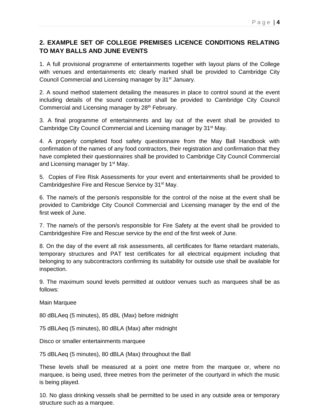## **2. EXAMPLE SET OF COLLEGE PREMISES LICENCE CONDITIONS RELATING TO MAY BALLS AND JUNE EVENTS**

1. A full provisional programme of entertainments together with layout plans of the College with venues and entertainments etc clearly marked shall be provided to Cambridge City Council Commercial and Licensing manager by 31<sup>st</sup> January.

2. A sound method statement detailing the measures in place to control sound at the event including details of the sound contractor shall be provided to Cambridge City Council Commercial and Licensing manager by 28<sup>th</sup> February.

3. A final programme of entertainments and lay out of the event shall be provided to Cambridge City Council Commercial and Licensing manager by 31<sup>st</sup> May.

4. A properly completed food safety questionnaire from the May Ball Handbook with confirmation of the names of any food contractors, their registration and confirmation that they have completed their questionnaires shall be provided to Cambridge City Council Commercial and Licensing manager by 1<sup>st</sup> May.

5. Copies of Fire Risk Assessments for your event and entertainments shall be provided to Cambridgeshire Fire and Rescue Service by 31<sup>st</sup> May.

6. The name/s of the person/s responsible for the control of the noise at the event shall be provided to Cambridge City Council Commercial and Licensing manager by the end of the first week of June.

7. The name/s of the person/s responsible for Fire Safety at the event shall be provided to Cambridgeshire Fire and Rescue service by the end of the first week of June.

8. On the day of the event all risk assessments, all certificates for flame retardant materials, temporary structures and PAT test certificates for all electrical equipment including that belonging to any subcontractors confirming its suitability for outside use shall be available for inspection.

9. The maximum sound levels permitted at outdoor venues such as marquees shall be as follows:

Main Marquee

80 dBLAeq (5 minutes), 85 dBL (Max) before midnight

75 dBLAeq (5 minutes), 80 dBLA (Max) after midnight

Disco or smaller entertainments marquee

75 dBLAeq (5 minutes), 80 dBLA (Max) throughout the Ball

These levels shall be measured at a point one metre from the marquee or, where no marquee, is being used, three metres from the perimeter of the courtyard in which the music is being played.

10. No glass drinking vessels shall be permitted to be used in any outside area or temporary structure such as a marquee.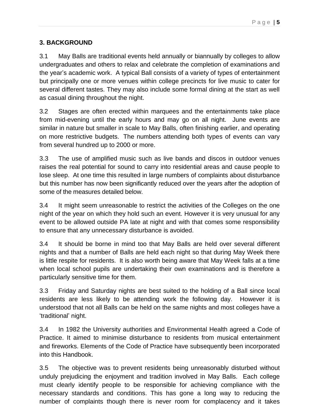## **3. BACKGROUND**

3.1 May Balls are traditional events held annually or biannually by colleges to allow undergraduates and others to relax and celebrate the completion of examinations and the year's academic work. A typical Ball consists of a variety of types of entertainment but principally one or more venues within college precincts for live music to cater for several different tastes. They may also include some formal dining at the start as well as casual dining throughout the night.

3.2 Stages are often erected within marquees and the entertainments take place from mid-evening until the early hours and may go on all night. June events are similar in nature but smaller in scale to May Balls, often finishing earlier, and operating on more restrictive budgets. The numbers attending both types of events can vary from several hundred up to 2000 or more.

3.3 The use of amplified music such as live bands and discos in outdoor venues raises the real potential for sound to carry into residential areas and cause people to lose sleep. At one time this resulted in large numbers of complaints about disturbance but this number has now been significantly reduced over the years after the adoption of some of the measures detailed below.

3.4 It might seem unreasonable to restrict the activities of the Colleges on the one night of the year on which they hold such an event. However it is very unusual for any event to be allowed outside PA late at night and with that comes some responsibility to ensure that any unnecessary disturbance is avoided.

3.4 It should be borne in mind too that May Balls are held over several different nights and that a number of Balls are held each night so that during May Week there is little respite for residents. It is also worth being aware that May Week falls at a time when local school pupils are undertaking their own examinations and is therefore a particularly sensitive time for them.

3.3 Friday and Saturday nights are best suited to the holding of a Ball since local residents are less likely to be attending work the following day. However it is understood that not all Balls can be held on the same nights and most colleges have a 'traditional' night.

3.4 In 1982 the University authorities and Environmental Health agreed a Code of Practice. It aimed to minimise disturbance to residents from musical entertainment and fireworks. Elements of the Code of Practice have subsequently been incorporated into this Handbook.

3.5 The objective was to prevent residents being unreasonably disturbed without unduly prejudicing the enjoyment and tradition involved in May Balls. Each college must clearly identify people to be responsible for achieving compliance with the necessary standards and conditions. This has gone a long way to reducing the number of complaints though there is never room for complacency and it takes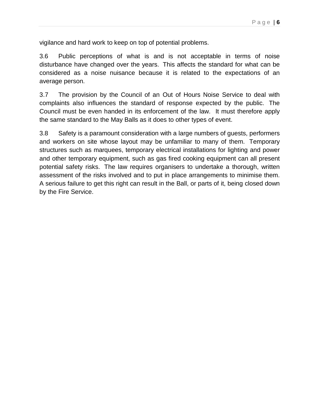vigilance and hard work to keep on top of potential problems.

3.6 Public perceptions of what is and is not acceptable in terms of noise disturbance have changed over the years. This affects the standard for what can be considered as a noise nuisance because it is related to the expectations of an average person.

3.7 The provision by the Council of an Out of Hours Noise Service to deal with complaints also influences the standard of response expected by the public. The Council must be even handed in its enforcement of the law. It must therefore apply the same standard to the May Balls as it does to other types of event.

3.8 Safety is a paramount consideration with a large numbers of guests, performers and workers on site whose layout may be unfamiliar to many of them. Temporary structures such as marquees, temporary electrical installations for lighting and power and other temporary equipment, such as gas fired cooking equipment can all present potential safety risks. The law requires organisers to undertake a thorough, written assessment of the risks involved and to put in place arrangements to minimise them. A serious failure to get this right can result in the Ball, or parts of it, being closed down by the Fire Service.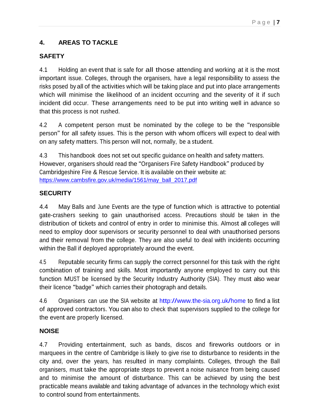## **4. AREAS TO TACKLE**

## **SAFETY**

4.1 Holding an event that is safe for all those attending and working at it is the most important issue. Colleges, through the organisers, have a legal responsibility to assess the risks posed by all of the activities which will be taking place and put into place arrangements which will minimise the likelihood of an incident occurring and the severity of it if such incident did occur. These arrangements need to be put into writing well in advance so that this process is not rushed.

4.2 <sup>A</sup> competent person must be nominated by the college to be the "responsible person" for all safety issues. This is the person with whom officers will expect to deal with on any safety matters. This person will not, normally, be a student.

4.3 This handbook does not set out specific guidance on health and safety matters. However, organisers should read the "Organisers Fire Safety Handbook" produced by Cambridgeshire Fire & Rescue Service. It is available on their website at: [https://www.cambsfire.gov.uk/media/1561/may\\_ball\\_2017.pdf](https://protect-eu.mimecast.com/s/_OlxCDqpHo7ZXoHWUxtB?domain=cambsfire.gov.uk)

## **SECURITY**

4.4 May Balls and June Events are the type of function which is attractive to potential gate-crashers seeking to gain unauthorised access. Precautions should be taken in the distribution of tickets and control of entry in order to minimise this. Almost all colleges will need to employ door supervisors or security personnel to deal with unauthorised persons and their removal from the college. They are also useful to deal with incidents occurring within the Ball if deployed appropriately around the event.

4.5 Reputable security firms can supply the correct personnel for this task with the right combination of training and skills. Most importantly anyone employed to carry out this function MUST be licensed by the Security Industry Authority (SIA). They must also wear their licence "badge" which carries their photograph and details.

4.6 Organisers can use the SIA website at <http://www.the-sia.org.uk/home> to find a list of approved contractors. You can also to check that supervisors supplied to the college for the event are properly licensed.

## **NOISE**

4.7 Providing entertainment, such as bands, discos and fireworks outdoors or in marquees in the centre of Cambridge is likely to give rise to disturbance to residents in the city and, over the years, has resulted in many complaints. Colleges, through the Ball organisers, must take the appropriate steps to prevent a noise nuisance from being caused and to minimise the amount of disturbance. This can be achieved by using the best practicable means available and taking advantage of advances in the technology which exist to control sound from entertainments.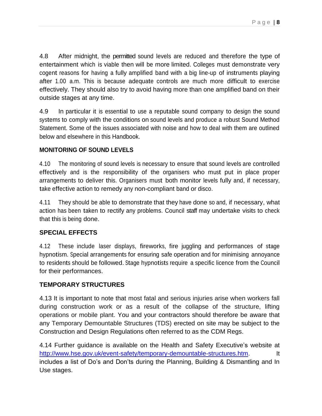4.8 After midnight, the permitted sound levels are reduced and therefore the type of entertainment which is viable then will be more limited. Colleges must demonstrate very cogent reasons for having a fully amplified band with a big line-up of instruments playing after 1.00 a.m. This is because adequate controls are much more difficult to exercise effectively. They should also try to avoid having more than one amplified band on their outside stages at any time.

4.9 In particular it is essential to use a reputable sound company to design the sound systems to comply with the conditions on sound levels and produce a robust Sound Method Statement. Some of the issues associated with noise and how to deal with them are outlined below and elsewhere in this Handbook.

#### **MONITORING OF SOUND LEVELS**

4.10 The monitoring of sound levels is necessary to ensure that sound levels are controlled effectively and is the responsibility of the organisers who must put in place proper arrangements to deliver this. Organisers must both monitor levels fully and, if necessary, take effective action to remedy any non-compliant band or disco.

4.11 They should be able to demonstrate that they have done so and, if necessary, what action has been taken to rectify any problems. Council staff may undertake visits to check that this is being done.

## **SPECIAL EFFECTS**

4.12 These include laser displays, fireworks, fire juggling and performances of stage hypnotism. Special arrangements for ensuring safe operation and for minimising annoyance to residents should be followed. Stage hypnotists require a specific licence from the Council for their performances.

## **TEMPORARY STRUCTURES**

4.13 It is important to note that most fatal and serious injuries arise when workers fall during construction work or as a result of the collapse of the structure, lifting operations or mobile plant. You and your contractors should therefore be aware that any Temporary Demountable Structures (TDS) erected on site may be subject to the Construction and Design Regulations often referred to as the CDM Regs.

4.14 Further guidance is available on the Health and Safety Executive's website at [http://www.hse.gov.uk/event-safety/temporary-demountable-structures.htm.](http://www.hse.gov.uk/event-safety/temporary-demountable-structures.htm) It includes a list of Do's and Don'ts during the Planning, Building & Dismantling and In Use stages.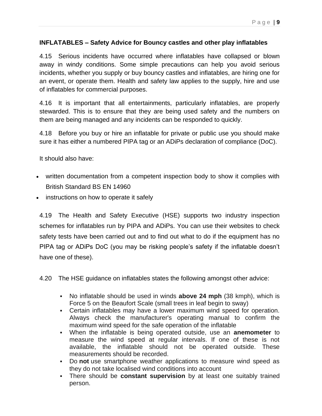#### **INFLATABLES – Safety Advice for Bouncy castles and other play inflatables**

4.15 Serious incidents have occurred where inflatables have collapsed or blown away in windy conditions. Some simple precautions can help you avoid serious incidents, whether you supply or buy bouncy castles and inflatables, are hiring one for an event, or operate them. Health and safety law applies to the supply, hire and use of inflatables for commercial purposes.

4.16 It is important that all entertainments, particularly inflatables, are properly stewarded. This is to ensure that they are being used safety and the numbers on them are being managed and any incidents can be responded to quickly.

4.18 Before you buy or hire an inflatable for private or public use you should make sure it has either a numbered PIPA tag or an ADiPs declaration of compliance (DoC).

It should also have:

- written documentation from a competent inspection body to show it complies with British Standard BS EN 14960
- instructions on how to operate it safely

4.19 The Health and Safety Executive (HSE) supports two industry inspection schemes for inflatables run by PIPA and ADiPs. You can use their websites to check safety tests have been carried out and to find out what to do if the equipment has no PIPA tag or ADiPs DoC (you may be risking people's safety if the inflatable doesn't have one of these).

4.20 The HSE guidance on inflatables states the following amongst other advice:

- No inflatable should be used in winds **above 24 mph** (38 kmph), which is Force 5 on the Beaufort Scale (small trees in leaf begin to sway)
- Certain inflatables may have a lower maximum wind speed for operation. Always check the manufacturer's operating manual to confirm the maximum wind speed for the safe operation of the inflatable
- When the inflatable is being operated outside, use an **anemometer** to measure the wind speed at regular intervals. If one of these is not available, the inflatable should not be operated outside. These measurements should be recorded.
- Do **not** use smartphone weather applications to measure wind speed as they do not take localised wind conditions into account
- There should be **constant supervision** by at least one suitably trained person.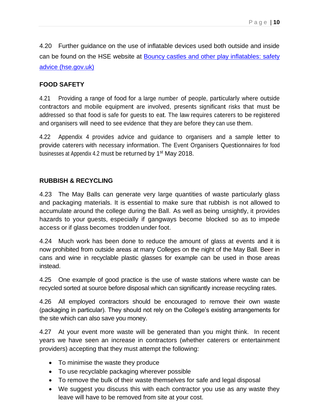4.20 Further guidance on the use of inflatable devices used both outside and inside can be found on the HSE website at [Bouncy castles and other play inflatables: safety](https://www.hse.gov.uk/entertainment/fairgrounds/inflatables.htm)  [advice \(hse.gov.uk\)](https://www.hse.gov.uk/entertainment/fairgrounds/inflatables.htm)

## **FOOD SAFETY**

4.21 Providing a range of food for a large number of people, particularly where outside contractors and mobile equipment are involved, presents significant risks that must be addressed so that food is safe for guests to eat. The law requires caterers to be registered and organisers will need to see evidence that they are before they can use them.

4.22 Appendix 4 provides advice and guidance to organisers and a sample letter to provide caterers with necessary information. The Event Organisers Questionnaires for food businesses at Appendix 4.2 must be returned by 1<sup>st</sup> May 2018.

## **RUBBISH & RECYCLING**

4.23 The May Balls can generate very large quantities of waste particularly glass and packaging materials. It is essential to make sure that rubbish is not allowed to accumulate around the college during the Ball. As well as being unsightly, it provides hazards to your guests, especially if gangways become blocked so as to impede access or if glass becomes trodden under foot.

4.24 Much work has been done to reduce the amount of glass at events and it is now prohibited from outside areas at many Colleges on the night of the May Ball. Beer in cans and wine in recyclable plastic glasses for example can be used in those areas instead.

4.25 One example of good practice is the use of waste stations where waste can be recycled sorted at source before disposal which can significantly increase recycling rates.

4.26 All employed contractors should be encouraged to remove their own waste (packaging in particular). They should not rely on the College's existing arrangements for the site which can also save you money.

4.27 At your event more waste will be generated than you might think. In recent years we have seen an increase in contractors (whether caterers or entertainment providers) accepting that they must attempt the following:

- To minimise the waste they produce
- To use recyclable packaging wherever possible
- To remove the bulk of their waste themselves for safe and legal disposal
- We suggest you discuss this with each contractor you use as any waste they leave will have to be removed from site at your cost.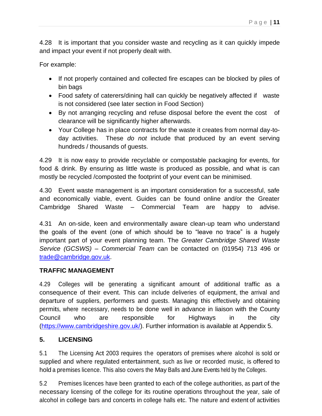4.28 It is important that you consider waste and recycling as it can quickly impede and impact your event if not properly dealt with.

For example:

- If not properly contained and collected fire escapes can be blocked by piles of bin bags
- Food safety of caterers/dining hall can quickly be negatively affected if waste is not considered (see later section in Food Section)
- By not arranging recycling and refuse disposal before the event the cost of clearance will be significantly higher afterwards.
- Your College has in place contracts for the waste it creates from normal day-today activities. These *do not* include that produced by an event serving hundreds / thousands of guests.

4.29 It is now easy to provide recyclable or compostable packaging for events, for food & drink. By ensuring as little waste is produced as possible, and what is can mostly be recycled /composted the footprint of your event can be minimised.

4.30 Event waste management is an important consideration for a successful, safe and economically viable, event. Guides can be found online and/or the Greater Cambridge Shared Waste – Commercial Team are happy to advise.

4.31 An on-side, keen and environmentally aware clean-up team who understand the goals of the event (one of which should be to "leave no trace" is a hugely important part of your event planning team. The *Greater Cambridge Shared Waste Service (GCSWS) – Commercial Team* can be contacted on (01954) 713 496 or [trade@cambridge.gov.uk.](mailto:trade@cambridge.gov.uk)

## **TRAFFIC MANAGEMENT**

4.29 Colleges will be generating a significant amount of additional traffic as a consequence of their event. This can include deliveries of equipment, the arrival and departure of suppliers, performers and guests. Managing this effectively and obtaining permits, where necessary, needs to be done well in advance in liaison with the County Council who are responsible for Highways in the city [\(https://www.cambridgeshire.gov.uk/\)](https://www.cambridgeshire.gov.uk/). Further information is available at Appendix 5.

## **5. LICENSING**

5.1 The Licensing Act 2003 requires the operators of premises where alcohol is sold or supplied and where regulated entertainment, such as live or recorded music, is offered to hold a premises licence. This also covers the May Balls and June Events held by the Colleges.

5.2 Premises licences have been granted to each of the college authorities, as part of the necessary licensing of the college for its routine operations throughout the year, sale of alcohol in college bars and concerts in college halls etc. The nature and extent of activities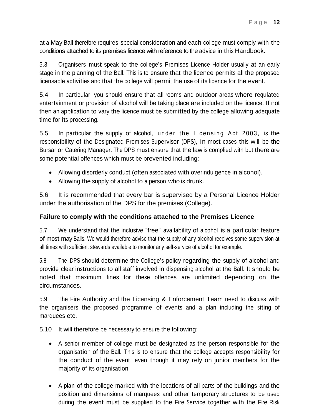at <sup>a</sup> May Ball therefore requires special consideration and each college must comply with the conditions attached to its premises licence with reference to the advice in this Handbook.

5.3 Organisers must speak to the college's Premises Licence Holder usually at an early stage in the planning of the Ball. This is to ensure that the licence permits all the proposed licensable activities and that the college will permit the use of its licence for the event.

5.4 In particular, you should ensure that all rooms and outdoor areas where regulated entertainment or provision of alcohol will be taking place are included on the licence. If not then an application to vary the licence must be submitted by the college allowing adequate time for its processing.

5.5 In particular the supply of alcohol, under the Licensing Act 2003, is the responsibility of the Designated Premises Supervisor (DPS), i n most cases this will be the Bursar or Catering Manager. The DPS must ensure that the law is complied with but there are some potential offences which must be prevented including:

- Allowing disorderly conduct (often associated with overindulgence in alcohol).
- Allowing the supply of alcohol to a person who is drunk.

5.6 It is recommended that every bar is supervised by a Personal Licence Holder under the authorisation of the DPS for the premises (College).

## **Failure to comply with the conditions attached to the Premises Licence**

5.7 We understand that the inclusive "free" availability of alcohol is a particular feature of most may Balls. We would therefore advise that the supply of any alcohol receives some supervision at all times with sufficient stewards available to monitor any self-service of alcohol for example.

5.8 The DPS should determine the College's policy regarding the supply of alcohol and provide clear instructions to all staff involved in dispensing alcohol at the Ball. It should be noted that maximum fines for these offences are unlimited depending on the circumstances.

5.9 The Fire Authority and the Licensing & Enforcement Team need to discuss with the organisers the proposed programme of events and a plan including the siting of marquees etc.

5.10 It will therefore be necessary to ensure the following:

- A senior member of college must be designated as the person responsible for the organisation of the Ball. This is to ensure that the college accepts responsibility for the conduct of the event, even though it may rely on junior members for the majority of its organisation.
- A plan of the college marked with the locations of all parts of the buildings and the position and dimensions of marquees and other temporary structures to be used during the event must be supplied to the Fire Service together with the Fire Risk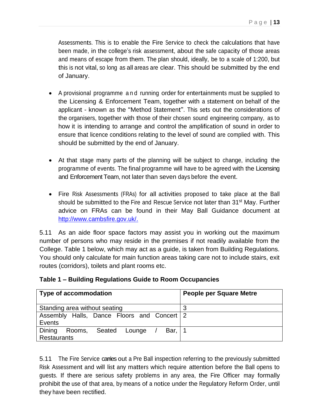Assessments. This is to enable the Fire Service to check the calculations that have been made, in the college's risk assessment, about the safe capacity of those areas and means of escape from them. The plan should, ideally, be to a scale of 1:200, but this is not vital, so long as all areas are clear. This should be submitted by the end of January.

- A provisional programme and running order for entertainments must be supplied to the Licensing & Enforcement Team, together with a statement on behalf of the applicant - known as the "Method Statement". This sets out the considerations of the organisers, together with those of their chosen sound engineering company, as to how it is intending to arrange and control the amplification of sound in order to ensure that licence conditions relating to the level of sound are complied with. This should be submitted by the end of January.
- At that stage many parts of the planning will be subject to change, including the programme of events. The final programme will have to be agreed with the Licensing and Enforcement Team, not later than seven days before the event.
- Fire Risk Assessments (FRAs) for all activities proposed to take place at the Ball should be submitted to the Fire and Rescue Service not later than 31<sup>st</sup> May. Further advice on FRAs can be found in their May Ball Guidance document at [http://www.cambsfire.gov.uk/.](http://www.cambsfire.gov.uk/)

5.11 As an aide floor space factors may assist you in working out the maximum number of persons who may reside in the premises if not readily available from the College. Table 1 below, which may act as a guide, is taken from Building Regulations. You should only calculate for main function areas taking care not to include stairs, exit routes (corridors), toilets and plant rooms etc.

| <b>Type of accommodation</b>                  | <b>People per Square Metre</b> |
|-----------------------------------------------|--------------------------------|
|                                               |                                |
| Standing area without seating                 | 3                              |
| Assembly Halls, Dance Floors and Concert 2    |                                |
| Events                                        |                                |
| Dining Rooms, Seated Lounge<br>Bar, $\vert$ 1 |                                |
| <b>Restaurants</b>                            |                                |

## **Table 1 – Building Regulations Guide to Room Occupancies**

5.11 The Fire Service carries out a Pre Ball inspection referring to the previously submitted Risk Assessment and will list any matters which require attention before the Ball opens to guests. If there are serious safety problems in any area, the Fire Officer may formally prohibit the use of that area, by means of a notice under the Regulatory Reform Order, until they have been rectified.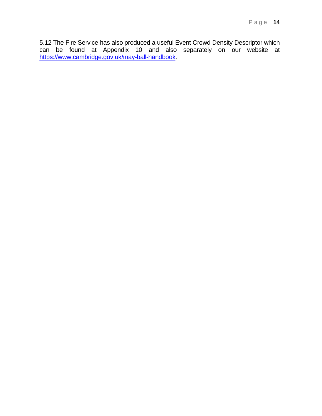5.12 The Fire Service has also produced a useful Event Crowd Density Descriptor which can be found at Appendix 10 and also separately on our website at [https://www.cambridge.gov.uk/may-ball-handbook.](https://www.cambridge.gov.uk/may-ball-handbook)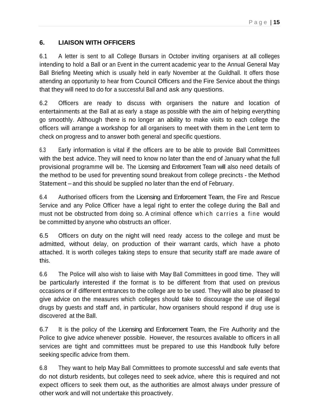## **6. LIAISON WITH OFFICERS**

6.1 A letter is sent to all College Bursars in October inviting organisers at all colleges intending to hold a Ball or an Event in the current academic year to the Annual General May Ball Briefing Meeting which is usually held in early November at the Guildhall. It offers those attending an opportunity to hear from Council Officers and the Fire Service about the things that they will need to do for a successful Ball and ask any questions.

6.2 Officers are ready to discuss with organisers the nature and location of entertainments at the Ball at as early a stage as possible with the aim of helping everything go smoothly. Although there is no longer an ability to make visits to each college the officers will arrange a workshop for all organisers to meet with them in the Lent term to check on progress and to answer both general and specific questions.

6.3 Early information is vital if the officers are to be able to provide Ball Committees with the best advice. They will need to know no later than the end of January what the full provisional programme will be. The Licensing and Enforcement Team will also need details of the method to be used for preventing sound breakout from college precincts - the Method Statement – and this should be supplied no later than the end of February.

6.4 Authorised officers from the Licensing and Enforcement Team, the Fire and Rescue Service and any Police Officer have a legal right to enter the college during the Ball and must not be obstructed from doing so. A criminal offence which carries a fine would be committed by anyone who obstructs an officer.

6.5 Officers on duty on the night will need ready access to the college and must be admitted, without delay, on production of their warrant cards, which have a photo attached. It is worth colleges taking steps to ensure that security staff are made aware of this.

6.6 The Police will also wish to liaise with May Ball Committees in good time. They will be particularly interested if the format is to be different from that used on previous occasions or if different entrances to the college are to be used. They will also be pleased to give advice on the measures which colleges should take to discourage the use of illegal drugs by guests and staff and, in particular, how organisers should respond if drug use is discovered at the Ball.

6.7 It is the policy of the Licensing and Enforcement Team, the Fire Authority and the Police to give advice whenever possible. However, the resources available to officers in all services are tight and committees must be prepared to use this Handbook fully before seeking specific advice from them.

6.8 They want to help May Ball Committees to promote successful and safe events that do not disturb residents, but colleges need to seek advice, where this is required and not expect officers to seek them out, as the authorities are almost always under pressure of other work and will not undertake this proactively.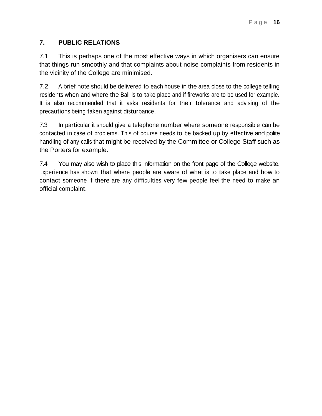## **7. PUBLIC RELATIONS**

7.1 This is perhaps one of the most effective ways in which organisers can ensure that things run smoothly and that complaints about noise complaints from residents in the vicinity of the College are minimised.

7.2 A brief note should be delivered to each house in the area close to the college telling residents when and where the Ball is to take place and if fireworks are to be used for example. It is also recommended that it asks residents for their tolerance and advising of the precautions being taken against disturbance.

7.3 In particular it should give a telephone number where someone responsible can be contacted in case of problems. This of course needs to be backed up by effective and polite handling of any calls that might be received by the Committee or College Staff such as the Porters for example.

7.4 You may also wish to place this information on the front page of the College website. Experience has shown that where people are aware of what is to take place and how to contact someone if there are any difficulties very few people feel the need to make an official complaint.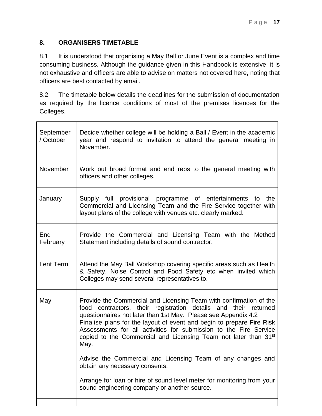## **8. ORGANISERS TIMETABLE**

8.1 It is understood that organising a May Ball or June Event is a complex and time consuming business. Although the guidance given in this Handbook is extensive, it is not exhaustive and officers are able to advise on matters not covered here, noting that officers are best contacted by email.

8.2 The timetable below details the deadlines for the submission of documentation as required by the licence conditions of most of the premises licences for the Colleges.

| September<br>/ October | Decide whether college will be holding a Ball / Event in the academic<br>year and respond to invitation to attend the general meeting in<br>November.                                                                                                                                                                                                                                                                                        |
|------------------------|----------------------------------------------------------------------------------------------------------------------------------------------------------------------------------------------------------------------------------------------------------------------------------------------------------------------------------------------------------------------------------------------------------------------------------------------|
| November               | Work out broad format and end reps to the general meeting with<br>officers and other colleges.                                                                                                                                                                                                                                                                                                                                               |
| January                | Supply full provisional programme of entertainments to the<br>Commercial and Licensing Team and the Fire Service together with<br>layout plans of the college with venues etc. clearly marked.                                                                                                                                                                                                                                               |
| End<br>February        | Provide the Commercial and Licensing Team with the Method<br>Statement including details of sound contractor.                                                                                                                                                                                                                                                                                                                                |
| Lent Term              | Attend the May Ball Workshop covering specific areas such as Health<br>& Safety, Noise Control and Food Safety etc when invited which<br>Colleges may send several representatives to.                                                                                                                                                                                                                                                       |
| May                    | Provide the Commercial and Licensing Team with confirmation of the<br>food contractors, their registration details and their returned<br>questionnaires not later than 1st May. Please see Appendix 4.2<br>Finalise plans for the layout of event and begin to prepare Fire Risk<br>Assessments for all activities for submission to the Fire Service<br>copied to the Commercial and Licensing Team not later than 31 <sup>st</sup><br>May. |
|                        | Advise the Commercial and Licensing Team of any changes and<br>obtain any necessary consents.                                                                                                                                                                                                                                                                                                                                                |
|                        | Arrange for loan or hire of sound level meter for monitoring from your<br>sound engineering company or another source.                                                                                                                                                                                                                                                                                                                       |
|                        |                                                                                                                                                                                                                                                                                                                                                                                                                                              |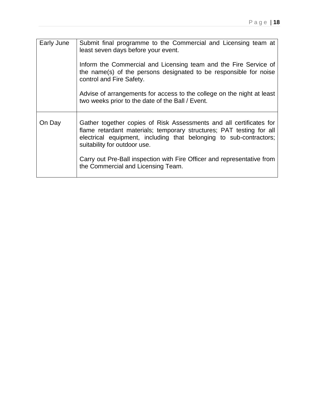| Early June | Submit final programme to the Commercial and Licensing team at<br>least seven days before your event.                                                                                                                                             |  |
|------------|---------------------------------------------------------------------------------------------------------------------------------------------------------------------------------------------------------------------------------------------------|--|
|            | Inform the Commercial and Licensing team and the Fire Service of<br>the name(s) of the persons designated to be responsible for noise<br>control and Fire Safety.                                                                                 |  |
|            | Advise of arrangements for access to the college on the night at least<br>two weeks prior to the date of the Ball / Event.                                                                                                                        |  |
| On Day     | Gather together copies of Risk Assessments and all certificates for<br>flame retardant materials; temporary structures; PAT testing for all<br>electrical equipment, including that belonging to sub-contractors;<br>suitability for outdoor use. |  |
|            | Carry out Pre-Ball inspection with Fire Officer and representative from<br>the Commercial and Licensing Team.                                                                                                                                     |  |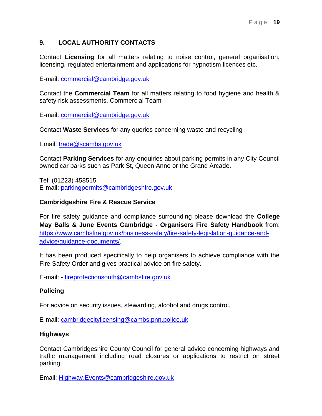## **9. LOCAL AUTHORITY CONTACTS**

Contact **Licensing** for all matters relating to noise control, general organisation, licensing, regulated entertainment and applications for hypnotism licences etc.

E-mail: [commercial@cambridge.gov.uk](mailto:commercial@cambridge.gov.uk)

Contact the **Commercial Team** for all matters relating to food hygiene and health & safety risk assessments. Commercial Team

E-mail: [commercial@cambridge.gov.uk](mailto:commercial@cambridge.gov.uk)

Contact **Waste Services** for any queries concerning waste and recycling

Email: [trade@scambs.gov.uk](mailto:trade@scambs.gov.uk)

Contact **Parking Services** for any enquiries about parking permits in any City Council owned car parks such as Park St, Queen Anne or the Grand Arcade.

Tel: (01223) 458515 E-mail: parkingpermits@cambridgeshire.gov.uk

#### **Cambridgeshire Fire & Rescue Service**

For fire safety guidance and compliance surrounding please download the **College May Balls & June Events Cambridge - Organisers Fire Safety Handbook** from: [https://www.cambsfire.gov.uk/business-safety/fire-safety-legislation-guidance-and](https://www.cambsfire.gov.uk/business-safety/fire-safety-legislation-guidance-and-advice/guidance-documents/)[advice/guidance-documents/.](https://www.cambsfire.gov.uk/business-safety/fire-safety-legislation-guidance-and-advice/guidance-documents/)

It has been produced specifically to help organisers to achieve compliance with the Fire Safety Order and gives practical advice on fire safety.

E-mail: - [fireprotectionsouth@cambsfire.gov.uk](mailto:fireprotectionsouth@cambsfire.gov.uk)

## **Policing**

For advice on security issues, stewarding, alcohol and drugs control.

E-mail: [cambridgecitylicensing@cambs.pnn.police.uk](mailto:cambridgecitylicensing@cambs.pnn.police.uk)

## **Highways**

Contact Cambridgeshire County Council for general advice concerning highways and traffic management including road closures or applications to restrict on street parking.

Email: [Highway.Events@cambridgeshire.gov.uk](mailto:Highway.Events@cambridgeshire.gov.uk)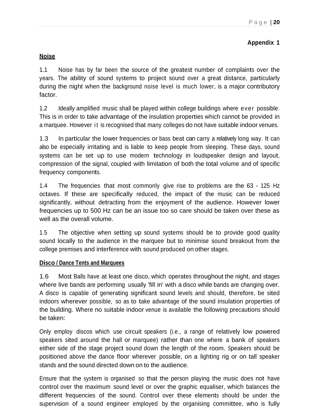## **Appendix 1**

## **Noise**

1.1 Noise has by far been the source of the greatest number of complaints over the years. The ability of sound systems to project sound over a great distance, particularly during the night when the background noise level is much lower, is a major contributory factor.

1.2 Ideally amplified music shall be played within college buildings where ever possible. This is in order to take advantage of the insulation properties which cannot be provided in a marquee. However it is recognised that many colleges do not have suitable indoor venues.

1.3 In particular the lower frequencies or bass beat can carry a relatively long way. It can also be especially irritating and is liable to keep people from sleeping. These days, sound systems can be set up to use modern technology in loudspeaker design and layout, compression of the signal, coupled with limitation of both the total volume and of specific frequency components.

1.4 The frequencies that most commonly give rise to problems are the 63 - 125 Hz octaves. If these are specifically reduced, the impact of the music can be reduced significantly, without detracting from the enjoyment of the audience. However lower frequencies up to 500 Hz can be an issue too so care should be taken over these as well as the overall volume.

1.5 The objective when setting up sound systems should be to provide good quality sound locally to the audience in the marquee but to minimise sound breakout from the college premises and interference with sound produced on other stages.

#### **Disco / Dance Tents and Marquees**

1.6 Most Balls have at least one disco, which operates throughout the night, and stages where live bands are performing usually 'fill in' with a disco while bands are changing over. A disco is capable of generating significant sound levels and should, therefore, be sited indoors wherever possible, so as to take advantage of the sound insulation properties of the building. Where no suitable indoor venue is available the following precautions should be taken:

Only employ discos which use circuit speakers (i.e., a range of relatively low powered speakers sited around the hall or marquee) rather than one where a bank of speakers either side of the stage project sound down the length of the room. Speakers should be positioned above the dance floor wherever possible, on a lighting rig or on tall speaker stands and the sound directed down on to the audience.

Ensure that the system is organised so that the person playing the music does not have control over the maximum sound level or over the graphic equaliser, which balances the different frequencies of the sound. Control over these elements should be under the supervision of a sound engineer employed by the organising committee, who is fully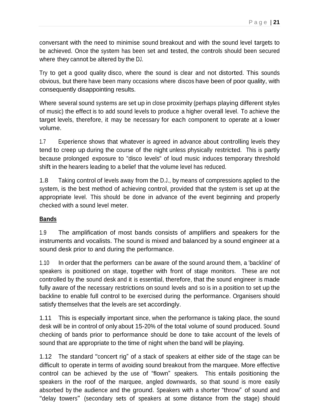conversant with the need to minimise sound breakout and with the sound level targets to be achieved. Once the system has been set and tested, the controls should been secured where they cannot be altered by the DJ.

Try to get a good quality disco, where the sound is clear and not distorted. This sounds obvious, but there have been many occasions where discos have been of poor quality, with consequently disappointing results.

Where several sound systems are set up in close proximity (perhaps playing different styles of music) the effect is to add sound levels to produce a higher overall level. To achieve the target levels, therefore, it may be necessary for each component to operate at a lower volume.

1.7 Experience shows that whatever is agreed in advance about controlling levels they tend to creep up during the course of the night unless physically restricted. This is partly because prolonged exposure to "disco levels" of loud music induces temporary threshold shift in the hearers leading to a belief that the volume level has reduced.

1.8 Taking control of levels away from the D.J., by means of compressions applied to the system, is the best method of achieving control, provided that the system is set up at the appropriate level. This should be done in advance of the event beginning and properly checked with a sound level meter.

## **Bands**

1.9 The amplification of most bands consists of amplifiers and speakers for the instruments and vocalists. The sound is mixed and balanced by a sound engineer at a sound desk prior to and during the performance.

1.10 In order that the performers can be aware of the sound around them, a 'backline' of speakers is positioned on stage, together with front of stage monitors. These are not controlled by the sound desk and it is essential, therefore, that the sound engineer is made fully aware of the necessary restrictions on sound levels and so is in a position to set up the backline to enable full control to be exercised during the performance. Organisers should satisfy themselves that the levels are set accordingly.

1.11 This is especially important since, when the performance is taking place, the sound desk will be in control of only about 15-20% of the total volume of sound produced. Sound checking of bands prior to performance should be done to take account of the levels of sound that are appropriate to the time of night when the band will be playing.

1.12 The standard "concert rig" of <sup>a</sup> stack of speakers at either side of the stage can be difficult to operate in terms of avoiding sound breakout from the marquee. More effective control can be achieved by the use of "flown" speakers. This entails positioning the speakers in the roof of the marquee, angled downwards, so that sound is more easily absorbed by the audience and the ground. Speakers with a shorter "throw" of sound and "delay towers" (secondary sets of speakers at some distance from the stage) should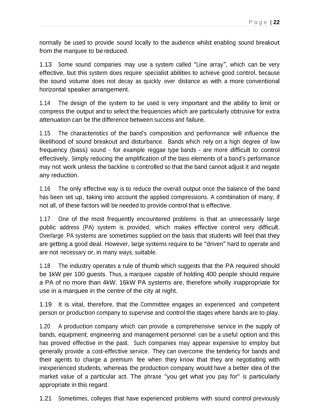normally be used to provide sound locally to the audience whilst enabling sound breakout from the marquee to be reduced.

1.13 Some sound companies may use a system called "Line array", which can be very effective, but this system does require specialist abilities to achieve good control, because the sound volume does not decay as quickly over distance as with a more conventional horizontal speaker arrangement.

1.14 The design of the system to be used is very important and the ability to limit or compress the output and to select the frequencies which are particularly obtrusive for extra attenuation can be the difference between success and failure.

1.15 The characteristics of the band's composition and performance will influence the likelihood of sound breakout and disturbance. Bands which rely on a high degree of low frequency (bass) sound - for example reggae type bands - are more difficult to control effectively. Simply reducing the amplification of the bass elements of a band's performance may not work unless the backline is controlled so that the band cannot adjust it and negate any reduction.

1.16 The only effective way is to reduce the overall output once the balance of the band has been set up, taking into account the applied compressions. A combination of many, if not all, of these factors will be needed to provide control that is effective.

1.17 One of the most frequently encountered problems is that an unnecessarily large public address (PA) system is provided, which makes effective control very difficult. Overlarge PA systems are sometimes supplied on the basis that students will feel that they are getting a good deal. However, large systems require to be "driven" hard to operate and are not necessary or, in many ways, suitable.

1.18 The industry operates a rule of thumb which suggests that the PA required should be 1kW per 100 guests. Thus, a marquee capable of holding 400 people should require a PA of no more than 4kW. 16kW PA systems are, therefore wholly inappropriate for use in a marquee in the centre of the city at night.

1.19 It is vital, therefore, that the Committee engages an experienced and competent person or production company to supervise and control the stages where bands are to play.

1.20 A production company which can provide a comprehensive service in the supply of bands, equipment, engineering and management personnel can be a useful option and this has proved effective in the past. Such companies may appear expensive to employ but generally provide a cost-effective service. They can overcome the tendency for bands and their agents to charge a premium fee when they know that they are negotiating with inexperienced students, whereas the production company would have a better idea of the market value of a particular act. The phrase "you get what you pay for" is particularly appropriate in this regard.

1.21 Sometimes, colleges that have experienced problems with sound control previously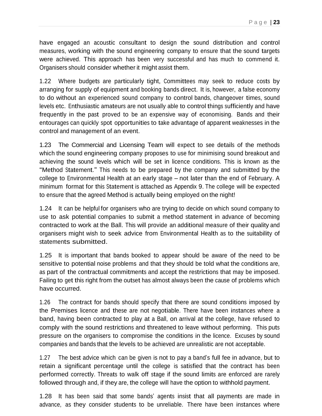have engaged an acoustic consultant to design the sound distribution and control measures, working with the sound engineering company to ensure that the sound targets were achieved. This approach has been very successful and has much to commend it. Organisers should consider whether it might assist them.

1.22 Where budgets are particularly tight, Committees may seek to reduce costs by arranging for supply of equipment and booking bands direct. It is, however, a false economy to do without an experienced sound company to control bands, changeover times, sound levels etc. Enthusiastic amateurs are not usually able to control things sufficiently and have frequently in the past proved to be an expensive way of economising. Bands and their entourages can quickly spot opportunities to take advantage of apparent weaknesses in the control and management of an event.

1.23 The Commercial and Licensing Team will expect to see details of the methods which the sound engineering company proposes to use for minimising sound breakout and achieving the sound levels which will be set in licence conditions. This is known as the "Method Statement." This needs to be prepared by the company and submitted by the college to Environmental Health at an early stage – not later than the end of February. A minimum format for this Statement is attached as Appendix 9. The college will be expected to ensure that the agreed Method is actually being employed on the night!

1.24 It can be helpful for organisers who are trying to decide on which sound company to use to ask potential companies to submit a method statement in advance of becoming contracted to work at the Ball. This will provide an additional measure of their quality and organisers might wish to seek advice from Environmental Health as to the suitability of statements submitted.

1.25 It is important that bands booked to appear should be aware of the need to be sensitive to potential noise problems and that they should be told what the conditions are, as part of the contractual commitments and accept the restrictions that may be imposed. Failing to get this right from the outset has almost always been the cause of problems which have occurred.

1.26 The contract for bands should specify that there are sound conditions imposed by the Premises licence and these are not negotiable. There have been instances where a band, having been contracted to play at a Ball, on arrival at the college, have refused to comply with the sound restrictions and threatened to leave without performing. This puts pressure on the organisers to compromise the conditions in the licence. Excuses by sound companies and bands that the levels to be achieved are unrealistic are not acceptable.

1.27 The best advice which can be given is not to pay a band's full fee in advance, but to retain a significant percentage until the college is satisfied that the contract has been performed correctly. Threats to walk off stage if the sound limits are enforced are rarely followed through and, if they are, the college will have the option to withhold payment.

1.28 It has been said that some bands' agents insist that all payments are made in advance, as they consider students to be unreliable. There have been instances where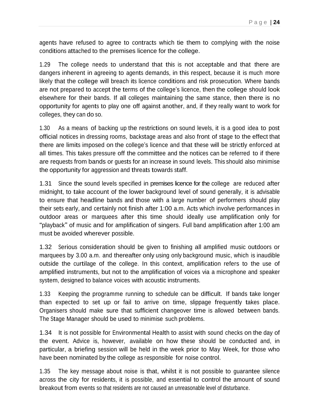agents have refused to agree to contracts which tie them to complying with the noise conditions attached to the premises licence for the college.

1.29 The college needs to understand that this is not acceptable and that there are dangers inherent in agreeing to agents demands, in this respect, because it is much more likely that the college will breach its licence conditions and risk prosecution. Where bands are not prepared to accept the terms of the college's licence, then the college should look elsewhere for their bands. If all colleges maintaining the same stance, then there is no opportunity for agents to play one off against another, and, if they really want to work for colleges, they can do so.

1.30 As <sup>a</sup> means of backing up the restrictions on sound levels, it is a good idea to post official notices in dressing rooms, backstage areas and also front of stage to the effect that there are limits imposed on the college's licence and that these will be strictly enforced at all times. This takes pressure off the committee and the notices can be referred to if there are requests from bands or guests for an increase in sound levels. This should also minimise the opportunity for aggression and threats towards staff.

1.31 Since the sound levels specified in premises licence for the college are reduced after midnight, to take account of the lower background level of sound generally, it is advisable to ensure that headline bands and those with a large number of performers should play their sets early, and certainly not finish after 1:00 a.m. Acts which involve performances in outdoor areas or marquees after this time should ideally use amplification only for "playback" of music and for amplification of singers. Full band amplification after 1:00 am must be avoided wherever possible.

1.32 Serious consideration should be given to finishing all amplified music outdoors or marquees by 3.00 a.m. and thereafter only using only background music, which is inaudible outside the curtilage of the college. In this context, amplification refers to the use of amplified instruments, but not to the amplification of voices via a microphone and speaker system, designed to balance voices with acoustic instruments.

1.33 Keeping the programme running to schedule can be difficult. If bands take longer than expected to set up or fail to arrive on time, slippage frequently takes place. Organisers should make sure that sufficient changeover time is allowed between bands. The Stage Manager should be used to minimise such problems.

1.34 It is not possible for Environmental Health to assist with sound checks on the day of the event. Advice is, however, available on how these should be conducted and, in particular, a briefing session will be held in the week prior to May Week, for those who have been nominated by the college as responsible for noise control.

1.35 The key message about noise is that, whilst it is not possible to guarantee silence across the city for residents, it is possible, and essential to control the amount of sound breakout from events so that residents are not caused an unreasonable level of disturbance.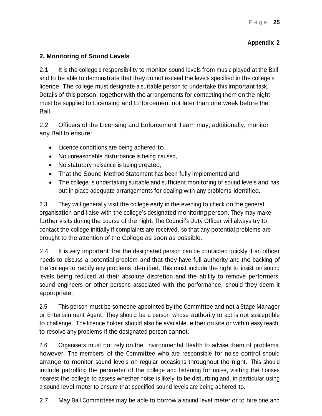## **Appendix 2**

## **2. Monitoring of Sound Levels**

2.1 It is the college's responsibility to monitor sound levels from music played at the Ball and to be able to demonstrate that they do not exceed the levels specified in the college's licence. The college must designate a suitable person to undertake this important task. Details of this person, together with the arrangements for contacting them on the night must be supplied to Licensing and Enforcement not later than one week before the Ball.

2.2 Officers of the Licensing and Enforcement Team may, additionally, monitor any Ball to ensure:

- Licence conditions are being adhered to,
- No unreasonable disturbance is being caused,
- No statutory nuisance is being created,
- That the Sound Method Statement has been fully implemented and
- The college is undertaking suitable and sufficient monitoring of sound levels and has put in place adequate arrangements for dealing with any problems identified.

2.3 They will generally visit the college early in the evening to check on the general organisation and liaise with the college's designated monitoring person. They may make further visits during the course of the night. The Council's Duty Officer will always try to contact the college initially if complaints are received, so that any potential problems are brought to the attention of the College as soon as possible.

2.4 It is very important that the designated person can be contacted quickly if an officer needs to discuss a potential problem and that they have full authority and the backing of the college to rectify any problems identified. This must include the right to insist on sound levels being reduced at their absolute discretion and the ability to remove performers, sound engineers or other persons associated with the performance, should they deem it appropriate.

2.5 This person must be someone appointed by the Committee and not a Stage Manager or Entertainment Agent. They should be a person whose authority to act is not susceptible to challenge. The licence holder should also be available, either on site or within easy reach, to resolve any problems if the designated person cannot.

2.6 Organisers must not rely on the Environmental Health to advise them of problems, however. The members of the Committee who are responsible for noise control should arrange to monitor sound levels on regular occasions throughout the night. This should include patrolling the perimeter of the college and listening for noise, visiting the houses nearest the college to assess whether noise is likely to be disturbing and, in particular using a sound level meter to ensure that specified sound levels are being adhered to.

2.7 May Ball Committees may be able to borrow a sound level meter or to hire one and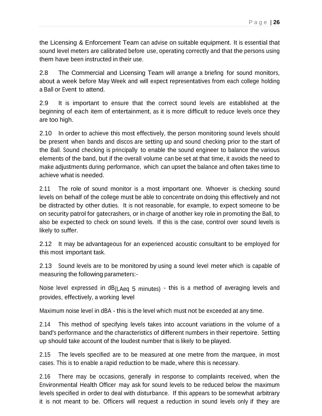the Licensing & Enforcement Team can advise on suitable equipment. It is essential that sound level meters are calibrated before use, operating correctly and that the persons using them have been instructed in their use.

2.8 The Commercial and Licensing Team will arrange a briefing for sound monitors, about a week before May Week and will expect representatives from each college holding a Ball or Event to attend.

2.9 It is important to ensure that the correct sound levels are established at the beginning of each item of entertainment, as it is more difficult to reduce levels once they are too high.

2.10 In order to achieve this most effectively, the person monitoring sound levels should be present when bands and discos are setting up and sound checking prior to the start of the Ball. Sound checking is principally to enable the sound engineer to balance the various elements of the band, but if the overall volume can be set at that time, it avoids the need to make adjustments during performance, which can upset the balance and often takes time to achieve what is needed.

2.11 The role of sound monitor is a most important one. Whoever is checking sound levels on behalf of the college must be able to concentrate on doing this effectively and not be distracted by other duties. It is not reasonable, for example, to expect someone to be on security patrol for gatecrashers, or in charge of another key role in promoting the Ball, to also be expected to check on sound levels. If this is the case, control over sound levels is likely to suffer.

2.12 It may be advantageous for an experienced acoustic consultant to be employed for this most important task.

2.13 Sound levels are to be monitored by using a sound level meter which is capable of measuring the following parameters:-

Noise level expressed in dB<sub>(LAeq 5</sub> minutes) - this is a method of averaging levels and provides, effectively, a working level

Maximum noise level in dBA - this is the level which must not be exceeded at any time.

2.14 This method of specifying levels takes into account variations in the volume of a band's performance and the characteristics of different numbers in their repertoire. Setting up should take account of the loudest number that is likely to be played.

2.15 The levels specified are to be measured at one metre from the marquee, in most cases. This is to enable a rapid reduction to be made, where this is necessary.

2.16 There may be occasions, generally in response to complaints received, when the Environmental Health Officer may ask for sound levels to be reduced below the maximum levels specified in order to deal with disturbance. If this appears to be somewhat arbitrary it is not meant to be. Officers will request a reduction in sound levels only if they are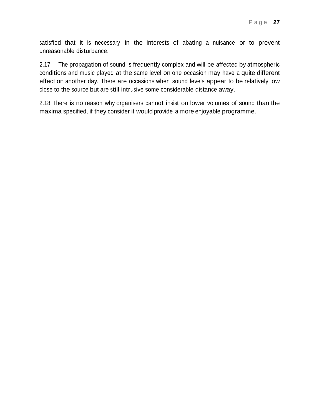satisfied that it is necessary in the interests of abating a nuisance or to prevent unreasonable disturbance.

2.17 The propagation of sound is frequently complex and will be affected by atmospheric conditions and music played at the same level on one occasion may have a quite different effect on another day. There are occasions when sound levels appear to be relatively low close to the source but are still intrusive some considerable distance away.

2.18 There is no reason why organisers cannot insist on lower volumes of sound than the maxima specified, if they consider it would provide a more enjoyable programme.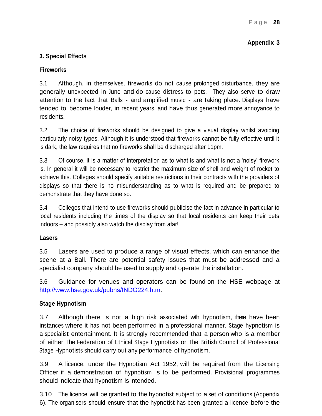## **Appendix 3**

## **3. Special Effects**

#### **Fireworks**

3.1 Although, in themselves, fireworks do not cause prolonged disturbance, they are generally unexpected in June and do cause distress to pets. They also serve to draw attention to the fact that Balls - and amplified music - are taking place. Displays have tended to become louder, in recent years, and have thus generated more annoyance to residents.

3.2 The choice of fireworks should be designed to give a visual display whilst avoiding particularly noisy types. Although it is understood that fireworks cannot be fully effective until it is dark, the law requires that no fireworks shall be discharged after 11pm.

3.3 Of course, it is a matter of interpretation as to what is and what is not a 'noisy' firework is. In general it will be necessary to restrict the maximum size of shell and weight of rocket to achieve this. Colleges should specify suitable restrictions in their contracts with the providers of displays so that there is no misunderstanding as to what is required and be prepared to demonstrate that they have done so.

3.4 Colleges that intend to use fireworks should publicise the fact in advance in particular to local residents including the times of the display so that local residents can keep their pets indoors – and possibly also watch the display from afar!

#### **Lasers**

3.5 Lasers are used to produce a range of visual effects, which can enhance the scene at a Ball. There are potential safety issues that must be addressed and a specialist company should be used to supply and operate the installation.

3.6 Guidance for venues and operators can be found on the HSE webpage at [http://www.hse.gov.uk/pubns/INDG224.htm.](http://www.hse.gov.uk/pubns/INDG224.htm)

#### **Stage Hypnotism**

3.7 Although there is not a high risk associated with hypnotism, there have been instances where it has not been performed in a professional manner. Stage hypnotism is a specialist entertainment. It is strongly recommended that a person who is a member of either The Federation of Ethical Stage Hypnotists or The British Council of Professional Stage Hypnotists should carry out any performance of hypnotism.

3.9 A licence, under the Hypnotism Act 1952, will be required from the Licensing Officer if a demonstration of hypnotism is to be performed. Provisional programmes should indicate that hypnotism is intended.

3.10 The licence will be granted to the hypnotist subject to a set of conditions (Appendix 6). The organisers should ensure that the hypnotist has been granted a licence before the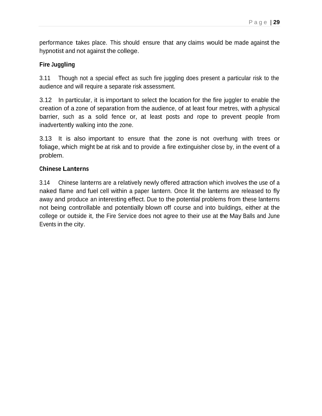performance takes place. This should ensure that any claims would be made against the hypnotist and not against the college.

#### **Fire Juggling**

3.11 Though not a special effect as such fire juggling does present a particular risk to the audience and will require a separate risk assessment.

3.12 In particular, it is important to select the location for the fire juggler to enable the creation of a zone of separation from the audience, of at least four metres, with a physical barrier, such as a solid fence or, at least posts and rope to prevent people from inadvertently walking into the zone.

3.13 It is also important to ensure that the zone is not overhung with trees or foliage, which might be at risk and to provide a fire extinguisher close by, in the event of a problem.

#### **Chinese Lanterns**

3.14 Chinese lanterns are a relatively newly offered attraction which involves the use of a naked flame and fuel cell within a paper lantern. Once lit the lanterns are released to fly away and produce an interesting effect. Due to the potential problems from these lanterns not being controllable and potentially blown off course and into buildings, either at the college or outside it, the Fire Service does not agree to their use at the May Balls and June Events in the city.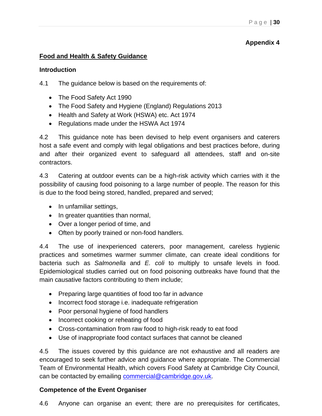## **Appendix 4**

#### **Food and Health & Safety Guidance**

#### **Introduction**

4.1 The guidance below is based on the requirements of:

- The Food Safety Act 1990
- The Food Safety and Hygiene (England) Regulations 2013
- Health and Safety at Work (HSWA) etc. Act 1974
- Regulations made under the HSWA Act 1974

4.2 This guidance note has been devised to help event organisers and caterers host a safe event and comply with legal obligations and best practices before, during and after their organized event to safeguard all attendees, staff and on-site contractors.

4.3 Catering at outdoor events can be a high-risk activity which carries with it the possibility of causing food poisoning to a large number of people. The reason for this is due to the food being stored, handled, prepared and served;

- In unfamiliar settings,
- In greater quantities than normal,
- Over a longer period of time, and
- Often by poorly trained or non-food handlers.

4.4 The use of inexperienced caterers, poor management, careless hygienic practices and sometimes warmer summer climate, can create ideal conditions for bacteria such as *Salmonella* and *E. coli* to multiply to unsafe levels in food. Epidemiological studies carried out on food poisoning outbreaks have found that the main causative factors contributing to them include;

- Preparing large quantities of food too far in advance
- Incorrect food storage i.e. inadequate refrigeration
- Poor personal hygiene of food handlers
- Incorrect cooking or reheating of food
- Cross-contamination from raw food to high-risk ready to eat food
- Use of inappropriate food contact surfaces that cannot be cleaned

4.5 The issues covered by this guidance are not exhaustive and all readers are encouraged to seek further advice and guidance where appropriate. The Commercial Team of Environmental Health, which covers Food Safety at Cambridge City Council, can be contacted by emailing [commercial@cambridge.gov.uk.](mailto:commercial@cambridge.gov.uk)

## **Competence of the Event Organiser**

4.6 Anyone can organise an event; there are no prerequisites for certificates,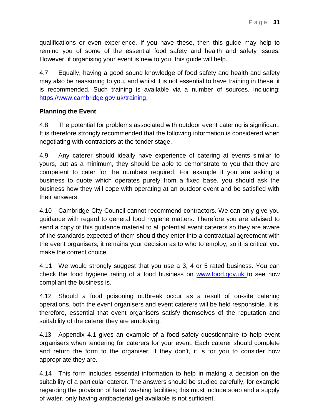qualifications or even experience. If you have these, then this guide may help to remind you of some of the essential food safety and health and safety issues. However, if organising your event is new to you, this guide will help.

4.7 Equally, having a good sound knowledge of food safety and health and safety may also be reassuring to you, and whilst it is not essential to have training in these, it is recommended. Such training is available via a number of sources, including; [https://www.cambridge.gov.uk/training.](https://www.cambridge.gov.uk/training)

#### **Planning the Event**

4.8 The potential for problems associated with outdoor event catering is significant. It is therefore strongly recommended that the following information is considered when negotiating with contractors at the tender stage.

4.9 Any caterer should ideally have experience of catering at events similar to yours, but as a minimum, they should be able to demonstrate to you that they are competent to cater for the numbers required. For example if you are asking a business to quote which operates purely from a fixed base, you should ask the business how they will cope with operating at an outdoor event and be satisfied with their answers.

4.10 Cambridge City Council cannot recommend contractors. We can only give you guidance with regard to general food hygiene matters. Therefore you are advised to send a copy of this guidance material to all potential event caterers so they are aware of the standards expected of them should they enter into a contractual agreement with the event organisers; it remains your decision as to who to employ, so it is critical you make the correct choice.

4.11 We would strongly suggest that you use a 3, 4 or 5 rated business. You can check the food hygiene rating of a food business on [www.food.gov.uk t](http://www.food.gov.uk/)o see how compliant the business is.

4.12 Should a food poisoning outbreak occur as a result of on-site catering operations, both the event organisers and event caterers will be held responsible. It is, therefore, essential that event organisers satisfy themselves of the reputation and suitability of the caterer they are employing.

4.13 Appendix 4.1 gives an example of a food safety questionnaire to help event organisers when tendering for caterers for your event. Each caterer should complete and return the form to the organiser; if they don't, it is for you to consider how appropriate they are.

4.14 This form includes essential information to help in making a decision on the suitability of a particular caterer. The answers should be studied carefully, for example regarding the provision of hand washing facilities; this must include soap and a supply of water, only having antibacterial gel available is not sufficient.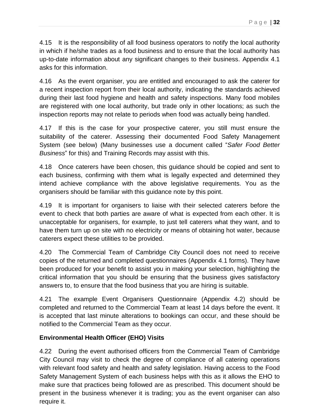4.15 It is the responsibility of all food business operators to notify the local authority in which if he/she trades as a food business and to ensure that the local authority has up-to-date information about any significant changes to their business. Appendix 4.1 asks for this information.

4.16 As the event organiser, you are entitled and encouraged to ask the caterer for a recent inspection report from their local authority, indicating the standards achieved during their last food hygiene and health and safety inspections. Many food mobiles are registered with one local authority, but trade only in other locations; as such the inspection reports may not relate to periods when food was actually being handled.

4.17 If this is the case for your prospective caterer, you still must ensure the suitability of the caterer. Assessing their documented Food Safety Management System (see below) (Many businesses use a document called "*Safer Food Better Business*" for this) and Training Records may assist with this.

4.18 Once caterers have been chosen, this guidance should be copied and sent to each business, confirming with them what is legally expected and determined they intend achieve compliance with the above legislative requirements. You as the organisers should be familiar with this guidance note by this point.

4.19 It is important for organisers to liaise with their selected caterers before the event to check that both parties are aware of what is expected from each other. It is unacceptable for organisers, for example, to just tell caterers what they want, and to have them turn up on site with no electricity or means of obtaining hot water, because caterers expect these utilities to be provided.

4.20 The Commercial Team of Cambridge City Council does not need to receive copies of the returned and completed questionnaires (Appendix 4.1 forms). They have been produced for your benefit to assist you in making your selection, highlighting the critical information that you should be ensuring that the business gives satisfactory answers to, to ensure that the food business that you are hiring is suitable.

4.21 The example Event Organisers Questionnaire (Appendix 4.2) should be completed and returned to the Commercial Team at least 14 days before the event. It is accepted that last minute alterations to bookings can occur, and these should be notified to the Commercial Team as they occur.

#### **Environmental Health Officer (EHO) Visits**

4.22 During the event authorised officers from the Commercial Team of Cambridge City Council may visit to check the degree of compliance of all catering operations with relevant food safety and health and safety legislation. Having access to the Food Safety Management System of each business helps with this as it allows the EHO to make sure that practices being followed are as prescribed. This document should be present in the business whenever it is trading; you as the event organiser can also require it.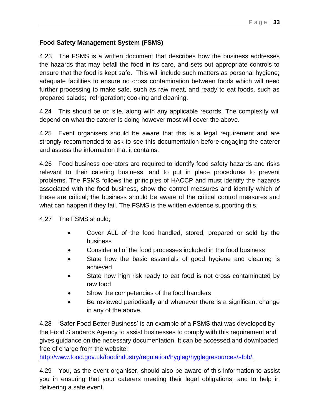## **Food Safety Management System (FSMS)**

4.23 The FSMS is a written document that describes how the business addresses the hazards that may befall the food in its care, and sets out appropriate controls to ensure that the food is kept safe. This will include such matters as personal hygiene; adequate facilities to ensure no cross contamination between foods which will need further processing to make safe, such as raw meat, and ready to eat foods, such as prepared salads; refrigeration; cooking and cleaning.

4.24 This should be on site, along with any applicable records. The complexity will depend on what the caterer is doing however most will cover the above.

4.25 Event organisers should be aware that this is a legal requirement and are strongly recommended to ask to see this documentation before engaging the caterer and assess the information that it contains.

4.26 Food business operators are required to identify food safety hazards and risks relevant to their catering business, and to put in place procedures to prevent problems. The FSMS follows the principles of HACCP and must identify the hazards associated with the food business, show the control measures and identify which of these are critical; the business should be aware of the critical control measures and what can happen if they fail. The FSMS is the written evidence supporting this.

4.27 The FSMS should;

- Cover ALL of the food handled, stored, prepared or sold by the business
- Consider all of the food processes included in the food business
- State how the basic essentials of good hygiene and cleaning is achieved
- State how high risk ready to eat food is not cross contaminated by raw food
- Show the competencies of the food handlers
- Be reviewed periodically and whenever there is a significant change in any of the above.

4.28 'Safer Food Better Business' is an example of a FSMS that was developed by the Food Standards Agency to assist businesses to comply with this requirement and gives guidance on the necessary documentation. It can be accessed and downloaded free of charge from the website:

[http://www.food.gov.uk/foodindustry/regulation/hygleg/hyglegresources/sfbb/.](http://www.food.gov.uk/foodindustry/regulation/hygleg/hyglegresources/sfbb/)

4.29 You, as the event organiser, should also be aware of this information to assist you in ensuring that your caterers meeting their legal obligations, and to help in delivering a safe event.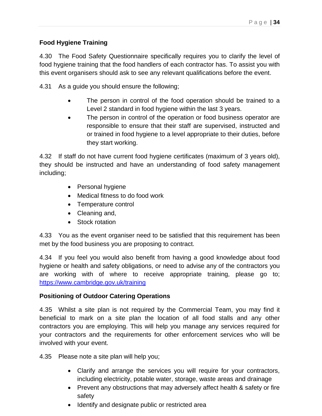## **Food Hygiene Training**

4.30 The Food Safety Questionnaire specifically requires you to clarify the level of food hygiene training that the food handlers of each contractor has. To assist you with this event organisers should ask to see any relevant qualifications before the event.

4.31 As a guide you should ensure the following;

- The person in control of the food operation should be trained to a Level 2 standard in food hygiene within the last 3 years.
- The person in control of the operation or food business operator are responsible to ensure that their staff are supervised, instructed and or trained in food hygiene to a level appropriate to their duties, before they start working.

4.32 If staff do not have current food hygiene certificates (maximum of 3 years old), they should be instructed and have an understanding of food safety management including;

- Personal hygiene
- Medical fitness to do food work
- Temperature control
- Cleaning and,
- Stock rotation

4.33 You as the event organiser need to be satisfied that this requirement has been met by the food business you are proposing to contract.

4.34 If you feel you would also benefit from having a good knowledge about food hygiene or health and safety obligations, or need to advise any of the contractors you are working with of where to receive appropriate training, please go to; <https://www.cambridge.gov.uk/training>

## **Positioning of Outdoor Catering Operations**

4.35 Whilst a site plan is not required by the Commercial Team, you may find it beneficial to mark on a site plan the location of all food stalls and any other contractors you are employing. This will help you manage any services required for your contractors and the requirements for other enforcement services who will be involved with your event.

4.35 Please note a site plan will help you;

- Clarify and arrange the services you will require for your contractors, including electricity, potable water, storage, waste areas and drainage
- Prevent any obstructions that may adversely affect health & safety or fire safety
- Identify and designate public or restricted area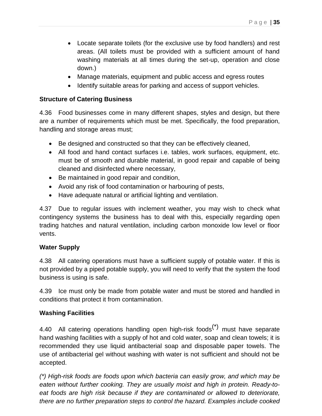- Locate separate toilets (for the exclusive use by food handlers) and rest areas. (All toilets must be provided with a sufficient amount of hand washing materials at all times during the set-up, operation and close down.)
- Manage materials, equipment and public access and egress routes
- Identify suitable areas for parking and access of support vehicles.

## **Structure of Catering Business**

4.36 Food businesses come in many different shapes, styles and design, but there are a number of requirements which must be met. Specifically, the food preparation, handling and storage areas must;

- Be designed and constructed so that they can be effectively cleaned,
- All food and hand contact surfaces i.e. tables, work surfaces, equipment, etc. must be of smooth and durable material, in good repair and capable of being cleaned and disinfected where necessary,
- Be maintained in good repair and condition,
- Avoid any risk of food contamination or harbouring of pests,
- Have adequate natural or artificial lighting and ventilation.

4.37 Due to regular issues with inclement weather, you may wish to check what contingency systems the business has to deal with this, especially regarding open trading hatches and natural ventilation, including carbon monoxide low level or floor vents.

## **Water Supply**

4.38 All catering operations must have a sufficient supply of potable water. If this is not provided by a piped potable supply, you will need to verify that the system the food business is using is safe.

4.39 Ice must only be made from potable water and must be stored and handled in conditions that protect it from contamination.

## **Washing Facilities**

4.40 All catering operations handling open high-risk foods $<sup>(*)</sup>$  must have separate</sup> hand washing facilities with a supply of hot and cold water, soap and clean towels; it is recommended they use liquid antibacterial soap and disposable paper towels. The use of antibacterial gel without washing with water is not sufficient and should not be accepted.

*(\*) High-risk foods are foods upon which bacteria can easily grow, and which may be eaten without further cooking. They are usually moist and high in protein. Ready-toeat foods are high risk because if they are contaminated or allowed to deteriorate, there are no further preparation steps to control the hazard. Examples include cooked*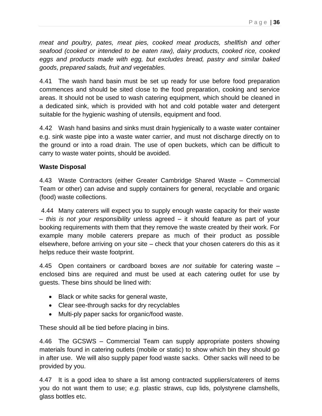*meat and poultry, pates, meat pies, cooked meat products, shellfish and other seafood (cooked or intended to be eaten raw), dairy products, cooked rice, cooked eggs and products made with egg, but excludes bread, pastry and similar baked goods, prepared salads, fruit and vegetables.*

4.41 The wash hand basin must be set up ready for use before food preparation commences and should be sited close to the food preparation, cooking and service areas. It should not be used to wash catering equipment, which should be cleaned in a dedicated sink, which is provided with hot and cold potable water and detergent suitable for the hygienic washing of utensils, equipment and food.

4.42 Wash hand basins and sinks must drain hygienically to a waste water container e.g. sink waste pipe into a waste water carrier, and must not discharge directly on to the ground or into a road drain. The use of open buckets, which can be difficult to carry to waste water points, should be avoided.

#### **Waste Disposal**

4.43 Waste Contractors (either Greater Cambridge Shared Waste – Commercial Team or other) can advise and supply containers for general, recyclable and organic (food) waste collections.

4.44 Many caterers will expect you to supply enough waste capacity for their waste – *this is not your responsibility* unless agreed – it should feature as part of your booking requirements with them that they remove the waste created by their work. For example many mobile caterers prepare as much of their product as possible elsewhere, before arriving on your site – check that your chosen caterers do this as it helps reduce their waste footprint.

4.45 Open containers or cardboard boxes *are not suitable* for catering waste – enclosed bins are required and must be used at each catering outlet for use by guests. These bins should be lined with:

- Black or white sacks for general waste,
- Clear see-through sacks for dry recyclables
- Multi-ply paper sacks for organic/food waste.

These should all be tied before placing in bins.

4.46 The GCSWS – Commercial Team can supply appropriate posters showing materials found in catering outlets (mobile or static) to show which bin they should go in after use. We will also supply paper food waste sacks. Other sacks will need to be provided by you.

4.47 It is a good idea to share a list among contracted suppliers/caterers of items you do not want them to use; *e.g.* plastic straws, cup lids, polystyrene clamshells, glass bottles etc.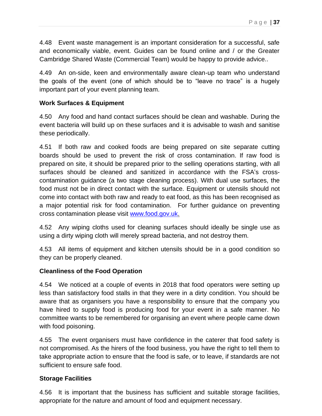4.48 Event waste management is an important consideration for a successful, safe and economically viable, event. Guides can be found online and / or the Greater Cambridge Shared Waste (Commercial Team) would be happy to provide advice..

4.49 An on-side, keen and environmentally aware clean-up team who understand the goals of the event (one of which should be to "leave no trace" is a hugely important part of your event planning team.

#### **Work Surfaces & Equipment**

4.50 Any food and hand contact surfaces should be clean and washable. During the event bacteria will build up on these surfaces and it is advisable to wash and sanitise these periodically.

4.51 If both raw and cooked foods are being prepared on site separate cutting boards should be used to prevent the risk of cross contamination. If raw food is prepared on site, it should be prepared prior to the selling operations starting, with all surfaces should be cleaned and sanitized in accordance with the FSA's crosscontamination guidance (a two stage cleaning process). With dual use surfaces, the food must not be in direct contact with the surface. Equipment or utensils should not come into contact with both raw and ready to eat food, as this has been recognised as a major potential risk for food contamination. For further guidance on preventing cross contamination please visit [www.food.gov.uk.](http://www.food.gov.uk/)

4.52 Any wiping cloths used for cleaning surfaces should ideally be single use as using a dirty wiping cloth will merely spread bacteria, and not destroy them.

4.53 All items of equipment and kitchen utensils should be in a good condition so they can be properly cleaned.

#### **Cleanliness of the Food Operation**

4.54 We noticed at a couple of events in 2018 that food operators were setting up less than satisfactory food stalls in that they were in a dirty condition. You should be aware that as organisers you have a responsibility to ensure that the company you have hired to supply food is producing food for your event in a safe manner. No committee wants to be remembered for organising an event where people came down with food poisoning.

4.55 The event organisers must have confidence in the caterer that food safety is not compromised. As the hirers of the food business, you have the right to tell them to take appropriate action to ensure that the food is safe, or to leave, if standards are not sufficient to ensure safe food.

#### **Storage Facilities**

4.56 It is important that the business has sufficient and suitable storage facilities, appropriate for the nature and amount of food and equipment necessary.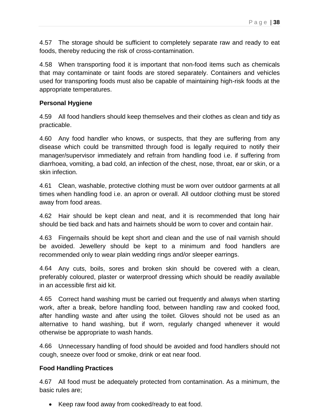4.57 The storage should be sufficient to completely separate raw and ready to eat foods, thereby reducing the risk of cross-contamination.

4.58 When transporting food it is important that non-food items such as chemicals that may contaminate or taint foods are stored separately. Containers and vehicles used for transporting foods must also be capable of maintaining high-risk foods at the appropriate temperatures.

#### **Personal Hygiene**

4.59 All food handlers should keep themselves and their clothes as clean and tidy as practicable.

4.60 Any food handler who knows, or suspects, that they are suffering from any disease which could be transmitted through food is legally required to notify their manager/supervisor immediately and refrain from handling food i.e. if suffering from diarrhoea, vomiting, a bad cold, an infection of the chest, nose, throat, ear or skin, or a skin infection.

4.61 Clean, washable, protective clothing must be worn over outdoor garments at all times when handling food i.e. an apron or overall. All outdoor clothing must be stored away from food areas.

4.62 Hair should be kept clean and neat, and it is recommended that long hair should be tied back and hats and hairnets should be worn to cover and contain hair.

4.63 Fingernails should be kept short and clean and the use of nail varnish should be avoided. Jewellery should be kept to a minimum and food handlers are recommended only to wear plain wedding rings and/or sleeper earrings.

4.64 Any cuts, boils, sores and broken skin should be covered with a clean, preferably coloured, plaster or waterproof dressing which should be readily available in an accessible first aid kit.

4.65 Correct hand washing must be carried out frequently and always when starting work, after a break, before handling food, between handling raw and cooked food, after handling waste and after using the toilet. Gloves should not be used as an alternative to hand washing, but if worn, regularly changed whenever it would otherwise be appropriate to wash hands.

4.66 Unnecessary handling of food should be avoided and food handlers should not cough, sneeze over food or smoke, drink or eat near food.

#### **Food Handling Practices**

4.67 All food must be adequately protected from contamination. As a minimum, the basic rules are;

• Keep raw food away from cooked/ready to eat food.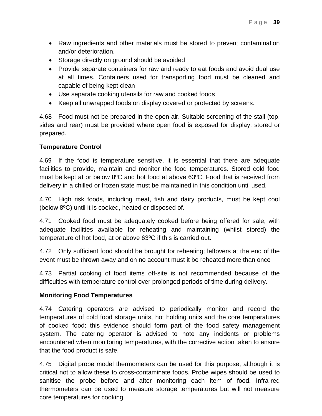- Raw ingredients and other materials must be stored to prevent contamination and/or deterioration.
- Storage directly on ground should be avoided
- Provide separate containers for raw and ready to eat foods and avoid dual use at all times. Containers used for transporting food must be cleaned and capable of being kept clean
- Use separate cooking utensils for raw and cooked foods
- Keep all unwrapped foods on display covered or protected by screens.

4.68 Food must not be prepared in the open air. Suitable screening of the stall (top, sides and rear) must be provided where open food is exposed for display, stored or prepared.

#### **Temperature Control**

4.69 If the food is temperature sensitive, it is essential that there are adequate facilities to provide, maintain and monitor the food temperatures. Stored cold food must be kept at or below 8ºC and hot food at above 63ºC. Food that is received from delivery in a chilled or frozen state must be maintained in this condition until used.

4.70 High risk foods, including meat, fish and dairy products, must be kept cool (below 8ºC) until it is cooked, heated or disposed of.

4.71 Cooked food must be adequately cooked before being offered for sale, with adequate facilities available for reheating and maintaining (whilst stored) the temperature of hot food, at or above 63ºC if this is carried out.

4.72 Only sufficient food should be brought for reheating; leftovers at the end of the event must be thrown away and on no account must it be reheated more than once

4.73 Partial cooking of food items off-site is not recommended because of the difficulties with temperature control over prolonged periods of time during delivery.

#### **Monitoring Food Temperatures**

4.74 Catering operators are advised to periodically monitor and record the temperatures of cold food storage units, hot holding units and the core temperatures of cooked food; this evidence should form part of the food safety management system. The catering operator is advised to note any incidents or problems encountered when monitoring temperatures, with the corrective action taken to ensure that the food product is safe.

4.75 Digital probe model thermometers can be used for this purpose, although it is critical not to allow these to cross-contaminate foods. Probe wipes should be used to sanitise the probe before and after monitoring each item of food. Infra-red thermometers can be used to measure storage temperatures but will not measure core temperatures for cooking.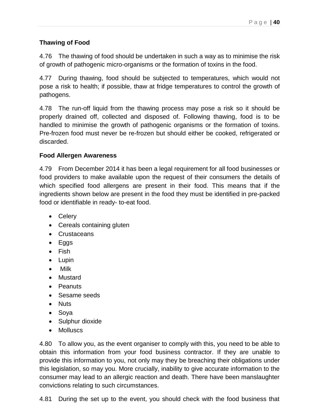## **Thawing of Food**

4.76 The thawing of food should be undertaken in such a way as to minimise the risk of growth of pathogenic micro-organisms or the formation of toxins in the food.

4.77 During thawing, food should be subjected to temperatures, which would not pose a risk to health; if possible, thaw at fridge temperatures to control the growth of pathogens.

4.78 The run-off liquid from the thawing process may pose a risk so it should be properly drained off, collected and disposed of. Following thawing, food is to be handled to minimise the growth of pathogenic organisms or the formation of toxins. Pre-frozen food must never be re-frozen but should either be cooked, refrigerated or discarded.

#### **Food Allergen Awareness**

4.79 From December 2014 it has been a legal requirement for all food businesses or food providers to make available upon the request of their consumers the details of which specified food allergens are present in their food. This means that if the ingredients shown below are present in the food they must be identified in pre-packed food or identifiable in ready- to-eat food.

- Celery
- Cereals containing gluten
- Crustaceans
- Eggs
- Fish
- Lupin
- Milk
- Mustard
- Peanuts
- Sesame seeds
- Nuts
- Soya
- Sulphur dioxide
- Molluscs

4.80 To allow you, as the event organiser to comply with this, you need to be able to obtain this information from your food business contractor. If they are unable to provide this information to you, not only may they be breaching their obligations under this legislation, so may you. More crucially, inability to give accurate information to the consumer may lead to an allergic reaction and death. There have been manslaughter convictions relating to such circumstances.

4.81 During the set up to the event, you should check with the food business that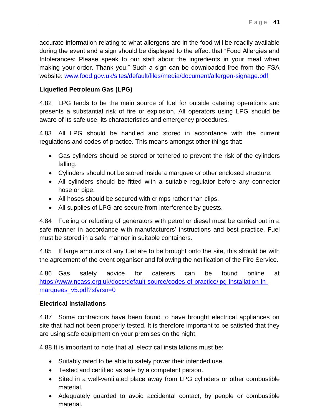accurate information relating to what allergens are in the food will be readily available during the event and a sign should be displayed to the effect that "Food Allergies and Intolerances: Please speak to our staff about the ingredients in your meal when making your order. Thank you." Such a sign can be downloaded free from the FSA website: [www.food.gov.uk/sites/default/files/media/document/allergen-signage.pdf](http://www.food.gov.uk/sites/default/files/media/document/allergen-signage.pdf)

## **Liquefied Petroleum Gas (LPG)**

4.82 LPG tends to be the main source of fuel for outside catering operations and presents a substantial risk of fire or explosion. All operators using LPG should be aware of its safe use, its characteristics and emergency procedures.

4.83 All LPG should be handled and stored in accordance with the current regulations and codes of practice. This means amongst other things that:

- Gas cylinders should be stored or tethered to prevent the risk of the cylinders falling.
- Cylinders should not be stored inside a marquee or other enclosed structure.
- All cylinders should be fitted with a suitable regulator before any connector hose or pipe.
- All hoses should be secured with crimps rather than clips.
- All supplies of LPG are secure from interference by guests.

4.84 Fueling or refueling of generators with petrol or diesel must be carried out in a safe manner in accordance with manufacturers' instructions and best practice. Fuel must be stored in a safe manner in suitable containers.

4.85 If large amounts of any fuel are to be brought onto the site, this should be with the agreement of the event organiser and following the notification of the Fire Service.

4.86 Gas safety advice for caterers can be found online at [https://www.ncass.org.uk/docs/default-source/codes-of-practice/lpg-installation-in](https://www.ncass.org.uk/docs/default-source/codes-of-practice/lpg-installation-in-marquees_v5.pdf?sfvrsn=0)[marquees\\_v5.pdf?sfvrsn=0](https://www.ncass.org.uk/docs/default-source/codes-of-practice/lpg-installation-in-marquees_v5.pdf?sfvrsn=0)

## **Electrical Installations**

4.87 Some contractors have been found to have brought electrical appliances on site that had not been properly tested. It is therefore important to be satisfied that they are using safe equipment on your premises on the night.

4.88 It is important to note that all electrical installations must be;

- Suitably rated to be able to safely power their intended use.
- Tested and certified as safe by a competent person.
- Sited in a well-ventilated place away from LPG cylinders or other combustible material.
- Adequately guarded to avoid accidental contact, by people or combustible material.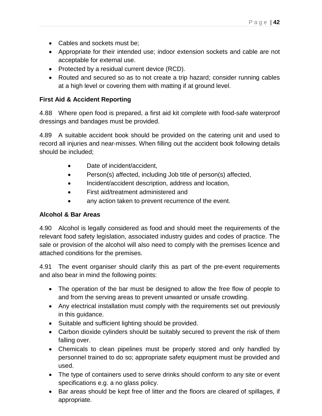- Cables and sockets must be;
- Appropriate for their intended use; indoor extension sockets and cable are not acceptable for external use.
- Protected by a residual current device (RCD).
- Routed and secured so as to not create a trip hazard; consider running cables at a high level or covering them with matting if at ground level.

## **First Aid & Accident Reporting**

4.88 Where open food is prepared, a first aid kit complete with food-safe waterproof dressings and bandages must be provided.

4.89 A suitable accident book should be provided on the catering unit and used to record all injuries and near-misses. When filling out the accident book following details should be included;

- Date of incident/accident.
- Person(s) affected, including Job title of person(s) affected,
- Incident/accident description, address and location,
- First aid/treatment administered and
- any action taken to prevent recurrence of the event.

## **Alcohol & Bar Areas**

4.90 Alcohol is legally considered as food and should meet the requirements of the relevant food safety legislation, associated industry guides and codes of practice. The sale or provision of the alcohol will also need to comply with the premises licence and attached conditions for the premises.

4.91 The event organiser should clarify this as part of the pre-event requirements and also bear in mind the following points:

- The operation of the bar must be designed to allow the free flow of people to and from the serving areas to prevent unwanted or unsafe crowding.
- Any electrical installation must comply with the requirements set out previously in this guidance.
- Suitable and sufficient lighting should be provided.
- Carbon dioxide cylinders should be suitably secured to prevent the risk of them falling over.
- Chemicals to clean pipelines must be properly stored and only handled by personnel trained to do so; appropriate safety equipment must be provided and used.
- The type of containers used to serve drinks should conform to any site or event specifications e.g. a no glass policy.
- Bar areas should be kept free of litter and the floors are cleared of spillages, if appropriate.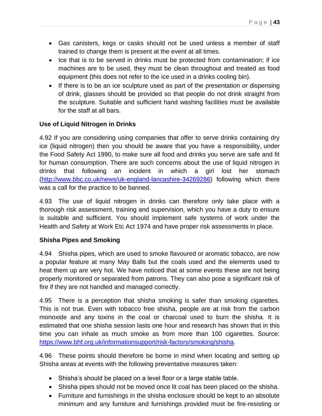- Gas canisters, kegs or casks should not be used unless a member of staff trained to change them is present at the event at all times.
- Ice that is to be served in drinks must be protected from contamination; if ice machines are to be used, they must be clean throughout and treated as food equipment (this does not refer to the ice used in a drinks cooling bin).
- If there is to be an ice sculpture used as part of the presentation or dispensing of drink, glasses should be provided so that people do not drink straight from the sculpture. Suitable and sufficient hand washing facilities must be available for the staff at all bars.

## **Use of Liquid Nitrogen in Drinks**

4.92 If you are considering using companies that offer to serve drinks containing dry ice (liquid nitrogen) then you should be aware that you have a responsibility, under the Food Safety Act 1990, to make sure all food and drinks you serve are safe and fit for human consumption. There are such concerns about the use of liquid nitrogen in drinks that following an incident in which a girl lost her stomach [\(http://www.bbc.co.uk/news/uk-england-lancashire-34269286\)](http://www.bbc.co.uk/news/uk-england-lancashire-34269286) following which there was a call for the practice to be banned.

4.93 The use of liquid nitrogen in drinks can therefore only take place with a thorough risk assessment, training and supervision, which you have a duty to ensure is suitable and sufficient. You should implement safe systems of work under the Health and Safety at Work Etc Act 1974 and have proper risk assessments in place.

## **Shisha Pipes and Smoking**

4.94 Shisha pipes, which are used to smoke flavoured or aromatic tobacco, are now a popular feature at many May Balls but the coals used and the elements used to heat them up are very hot. We have noticed that at some events these are not being properly monitored or separated from patrons. They can also pose a significant risk of fire if they are not handled and managed correctly.

4.95 There is a perception that shisha smoking is safer than smoking cigarettes. This is not true. Even with tobacco free shisha, people are at risk from the carbon monoxide and any toxins in the coal or charcoal used to burn the shisha. It is estimated that one shisha session lasts one hour and research has shown that in this time you can inhale as much smoke as from more than 100 cigarettes. Source: [https://www.bhf.org.uk/informationsupport/risk-factors/smoking/shisha.](https://www.bhf.org.uk/informationsupport/risk-factors/smoking/shisha)

4.96 These points should therefore be borne in mind when locating and setting up Shisha areas at events with the following preventative measures taken:

- Shisha's should be placed on a level floor or a large stable table.
- Shisha pipes should not be moved once lit coal has been placed on the shisha.
- Furniture and furnishings in the shisha enclosure should be kept to an absolute minimum and any furniture and furnishings provided must be fire-resisting or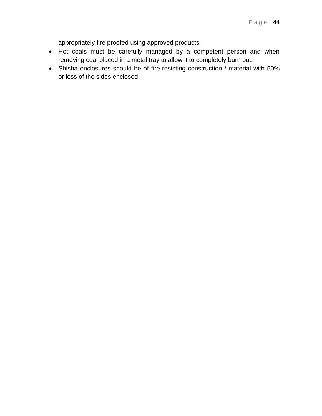appropriately fire proofed using approved products.

- Hot coals must be carefully managed by a competent person and when removing coal placed in a metal tray to allow it to completely burn out.
- Shisha enclosures should be of fire-resisting construction / material with 50% or less of the sides enclosed.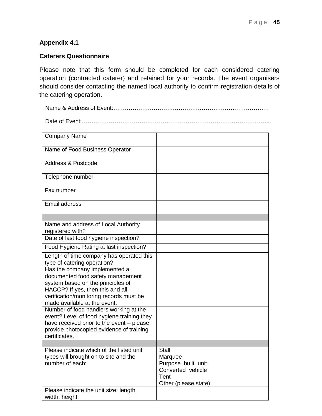## **Appendix 4.1**

#### **Caterers Questionnaire**

Please note that this form should be completed for each considered catering operation (contracted caterer) and retained for your records. The event organisers should consider contacting the named local authority to confirm registration details of the catering operation.

Name & Address of Event:………………………………………………………………………

Date of Event:……………………………………………………………………………………..

| <b>Company Name</b>                                                                   |                               |
|---------------------------------------------------------------------------------------|-------------------------------|
| Name of Food Business Operator                                                        |                               |
| <b>Address &amp; Postcode</b>                                                         |                               |
| Telephone number                                                                      |                               |
| Fax number                                                                            |                               |
| Email address                                                                         |                               |
|                                                                                       |                               |
| Name and address of Local Authority<br>registered with?                               |                               |
| Date of last food hygiene inspection?                                                 |                               |
| Food Hygiene Rating at last inspection?                                               |                               |
| Length of time company has operated this<br>type of catering operation?               |                               |
| Has the company implemented a                                                         |                               |
| documented food safety management<br>system based on the principles of                |                               |
| HACCP? If yes, then this and all                                                      |                               |
| verification/monitoring records must be<br>made available at the event.               |                               |
| Number of food handlers working at the                                                |                               |
| event? Level of food hygiene training they                                            |                               |
| have received prior to the event - please<br>provide photocopied evidence of training |                               |
| certificates.                                                                         |                               |
|                                                                                       |                               |
| Please indicate which of the listed unit                                              | <b>Stall</b>                  |
| types will brought on to site and the<br>number of each:                              | Marquee<br>Purpose built unit |
|                                                                                       | Converted vehicle             |
|                                                                                       | Tent                          |
|                                                                                       | Other (please state)          |
| Please indicate the unit size: length,                                                |                               |
| width, height:                                                                        |                               |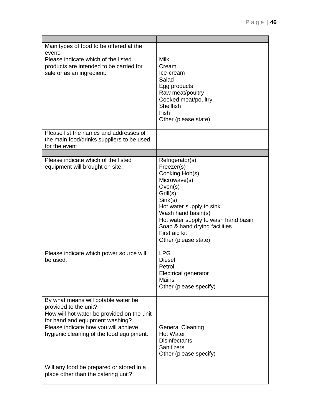| Main types of food to be offered at the<br>event:                                                                 |                                                                                                                                                                                                                                                                                    |
|-------------------------------------------------------------------------------------------------------------------|------------------------------------------------------------------------------------------------------------------------------------------------------------------------------------------------------------------------------------------------------------------------------------|
| Please indicate which of the listed<br>products are intended to be carried for<br>sale or as an ingredient:       | <b>Milk</b><br>Cream<br>Ice-cream<br>Salad<br>Egg products<br>Raw meat/poultry<br>Cooked meat/poultry<br><b>Shellfish</b><br><b>Fish</b><br>Other (please state)                                                                                                                   |
| Please list the names and addresses of<br>the main food/drinks suppliers to be used<br>for the event              |                                                                                                                                                                                                                                                                                    |
|                                                                                                                   |                                                                                                                                                                                                                                                                                    |
| Please indicate which of the listed<br>equipment will brought on site:<br>Please indicate which power source will | Refrigerator(s)<br>Freezer(s)<br>Cooking Hob(s)<br>Microwave(s)<br>Oven(s)<br>Grill(s)<br>Sink(s)<br>Hot water supply to sink<br>Wash hand basin(s)<br>Hot water supply to wash hand basin<br>Soap & hand drying facilities<br>First aid kit<br>Other (please state)<br><b>LPG</b> |
| be used:                                                                                                          | <b>Diesel</b><br>Petrol<br><b>Electrical generator</b><br>Mains<br>Other (please specify)                                                                                                                                                                                          |
| By what means will potable water be<br>provided to the unit?<br>How will hot water be provided on the unit        |                                                                                                                                                                                                                                                                                    |
| for hand and equipment washing?                                                                                   |                                                                                                                                                                                                                                                                                    |
| Please indicate how you will achieve<br>hygienic cleaning of the food equipment:                                  | <b>General Cleaning</b><br><b>Hot Water</b><br><b>Disinfectants</b><br><b>Sanitizers</b><br>Other (please specify)                                                                                                                                                                 |
| Will any food be prepared or stored in a<br>place other than the catering unit?                                   |                                                                                                                                                                                                                                                                                    |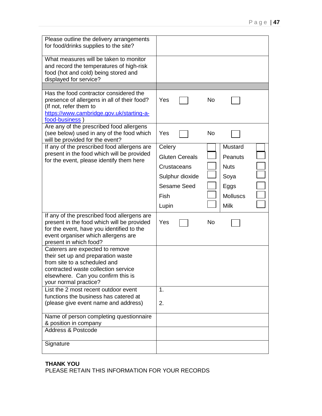| Please outline the delivery arrangements<br>for food/drinks supplies to the site?<br>What measures will be taken to monitor<br>and record the temperatures of high-risk<br>food (hot and cold) being stored and<br>displayed for service?<br>Has the food contractor considered the<br>presence of allergens in all of their food? | Yes<br><b>No</b>                                                                                                                                                                                |
|------------------------------------------------------------------------------------------------------------------------------------------------------------------------------------------------------------------------------------------------------------------------------------------------------------------------------------|-------------------------------------------------------------------------------------------------------------------------------------------------------------------------------------------------|
| (If not, refer them to<br>https://www.cambridge.gov.uk/starting-a-<br>food-business                                                                                                                                                                                                                                                |                                                                                                                                                                                                 |
| Are any of the prescribed food allergens<br>(see below) used in any of the food which<br>will be provided for the event?                                                                                                                                                                                                           | Yes<br>No                                                                                                                                                                                       |
| If any of the prescribed food allergens are<br>present in the food which will be provided<br>for the event, please identify them here                                                                                                                                                                                              | Celery<br>Mustard<br><b>Gluten Cereals</b><br>Peanuts<br>Crustaceans<br><b>Nuts</b><br>Sulphur dioxide<br>Soya<br><b>Sesame Seed</b><br>Eggs<br><b>Molluscs</b><br>Fish<br><b>Milk</b><br>Lupin |
| If any of the prescribed food allergens are<br>present in the food which will be provided<br>for the event, have you identified to the<br>event organiser which allergens are<br>present in which food?                                                                                                                            | Yes<br><b>No</b>                                                                                                                                                                                |
| Caterers are expected to remove<br>their set up and preparation waste<br>from site to a scheduled and<br>contracted waste collection service<br>elsewhere. Can you confirm this is<br>your normal practice?                                                                                                                        |                                                                                                                                                                                                 |
| List the 2 most recent outdoor event<br>functions the business has catered at<br>(please give event name and address)                                                                                                                                                                                                              | 1.<br>2.                                                                                                                                                                                        |
| Name of person completing questionnaire<br>& position in company<br><b>Address &amp; Postcode</b>                                                                                                                                                                                                                                  |                                                                                                                                                                                                 |
| Signature                                                                                                                                                                                                                                                                                                                          |                                                                                                                                                                                                 |

#### **THANK YOU** PLEASE RETAIN THIS INFORMATION FOR YOUR RECORDS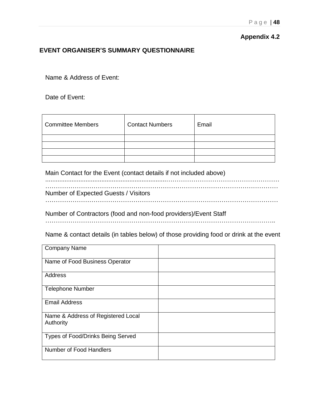#### **Appendix 4.2**

#### **EVENT ORGANISER'S SUMMARY QUESTIONNAIRE**

Name & Address of Event:

Date of Event:

| Committee Members | <b>Contact Numbers</b> | Email |
|-------------------|------------------------|-------|
|                   |                        |       |
|                   |                        |       |
|                   |                        |       |
|                   |                        |       |

Main Contact for the Event (contact details if not included above)

.....................................................................……………………………………………… ………………………………………………………………………………………………… Number of Expected Guests / Visitors …………………………………………………………………………………………………

Number of Contractors (food and non-food providers)/Event Staff

………………………………………………………………………………………………..

Name & contact details (in tables below) of those providing food or drink at the event

| <b>Company Name</b>                             |  |
|-------------------------------------------------|--|
| Name of Food Business Operator                  |  |
| Address                                         |  |
| <b>Telephone Number</b>                         |  |
| <b>Email Address</b>                            |  |
| Name & Address of Registered Local<br>Authority |  |
| Types of Food/Drinks Being Served               |  |
| Number of Food Handlers                         |  |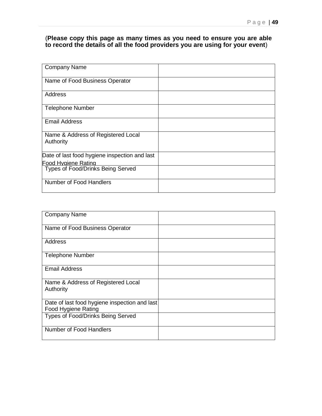#### (**Please copy this page as many times as you need to ensure you are able to record the details of all the food providers you are using for your event**)

| <b>Company Name</b>                                      |  |
|----------------------------------------------------------|--|
| Name of Food Business Operator                           |  |
| Address                                                  |  |
| <b>Telephone Number</b>                                  |  |
| <b>Email Address</b>                                     |  |
| Name & Address of Registered Local<br>Authority          |  |
| Date of last food hygiene inspection and last            |  |
| Food Hvaiene Rating<br>Types of Food/Drinks Being Served |  |
| Number of Food Handlers                                  |  |

| <b>Company Name</b>                                                         |  |
|-----------------------------------------------------------------------------|--|
| Name of Food Business Operator                                              |  |
| Address                                                                     |  |
| <b>Telephone Number</b>                                                     |  |
| <b>Email Address</b>                                                        |  |
| Name & Address of Registered Local<br>Authority                             |  |
| Date of last food hygiene inspection and last<br><b>Food Hygiene Rating</b> |  |
| Types of Food/Drinks Being Served                                           |  |
| Number of Food Handlers                                                     |  |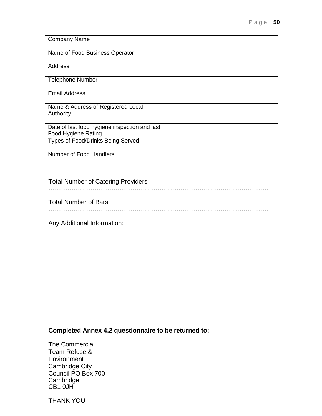| <b>Company Name</b>                           |  |
|-----------------------------------------------|--|
|                                               |  |
| Name of Food Business Operator                |  |
|                                               |  |
|                                               |  |
| Address                                       |  |
|                                               |  |
| <b>Telephone Number</b>                       |  |
|                                               |  |
| <b>Email Address</b>                          |  |
|                                               |  |
|                                               |  |
| Name & Address of Registered Local            |  |
| Authority                                     |  |
|                                               |  |
| Date of last food hygiene inspection and last |  |
| <b>Food Hygiene Rating</b>                    |  |
| Types of Food/Drinks Being Served             |  |
|                                               |  |
|                                               |  |
| Number of Food Handlers                       |  |
|                                               |  |

#### Total Number of Catering Providers

……………………………………………………………………………………………

Total Number of Bars

……………………………………………………………………………………………

Any Additional Information:

**Completed Annex 4.2 questionnaire to be returned to:**

The Commercial Team Refuse & **Environment** Cambridge City Council PO Box 700 Cambridge CB1 0JH

THANK YOU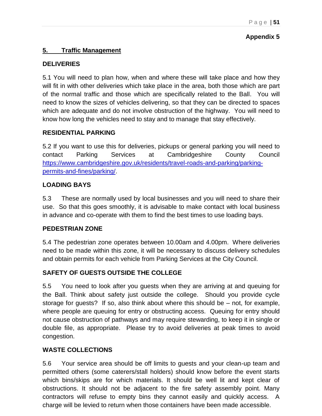## **Appendix 5**

## **5. Traffic Management**

## **DELIVERIES**

5.1 You will need to plan how, when and where these will take place and how they will fit in with other deliveries which take place in the area, both those which are part of the normal traffic and those which are specifically related to the Ball. You will need to know the sizes of vehicles delivering, so that they can be directed to spaces which are adequate and do not involve obstruction of the highway. You will need to know how long the vehicles need to stay and to manage that stay effectively.

## **RESIDENTIAL PARKING**

5.2 If you want to use this for deliveries, pickups or general parking you will need to contact Parking Services at Cambridgeshire County Council [https://www.cambridgeshire.gov.uk/residents/travel-roads-and-parking/parking](https://www.cambridgeshire.gov.uk/residents/travel-roads-and-parking/parking-permits-and-fines/parking/)[permits-and-fines/parking/.](https://www.cambridgeshire.gov.uk/residents/travel-roads-and-parking/parking-permits-and-fines/parking/)

## **LOADING BAYS**

5.3 These are normally used by local businesses and you will need to share their use. So that this goes smoothly, it is advisable to make contact with local business in advance and co-operate with them to find the best times to use loading bays.

## **PEDESTRIAN ZONE**

5.4 The pedestrian zone operates between 10.00am and 4.00pm. Where deliveries need to be made within this zone, it will be necessary to discuss delivery schedules and obtain permits for each vehicle from Parking Services at the City Council.

## **SAFETY OF GUESTS OUTSIDE THE COLLEGE**

5.5 You need to look after you guests when they are arriving at and queuing for the Ball. Think about safety just outside the college. Should you provide cycle storage for guests? If so, also think about where this should be – not, for example, where people are queuing for entry or obstructing access. Queuing for entry should not cause obstruction of pathways and may require stewarding, to keep it in single or double file, as appropriate. Please try to avoid deliveries at peak times to avoid congestion.

## **WASTE COLLECTIONS**

5.6 Your service area should be off limits to guests and your clean-up team and permitted others (some caterers/stall holders) should know before the event starts which bins/skips are for which materials. It should be well lit and kept clear of obstructions. It should not be adjacent to the fire safety assembly point. Many contractors will refuse to empty bins they cannot easily and quickly access. A charge will be levied to return when those containers have been made accessible.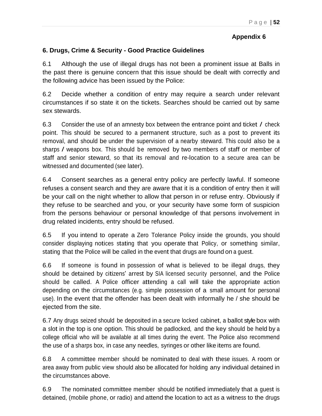## **Appendix 6**

## **6. Drugs, Crime & Security - Good Practice Guidelines**

6.1 Although the use of illegal drugs has not been a prominent issue at Balls in the past there is genuine concern that this issue should be dealt with correctly and the following advice has been issued by the Police:

6.2 Decide whether a condition of entry may require a search under relevant circumstances if so state it on the tickets. Searches should be carried out by same sex stewards.

6.3 Consider the use of an amnesty box between the entrance point and ticket / check point. This should be secured to <sup>a</sup> permanent structure, such as a post to prevent its removal, and should be under the supervision of a nearby steward. This could also be a sharps / weapons box. This should be removed by two members of staff or member of staff and senior steward, so that its removal and re-location to a secure area can be witnessed and documented (see later).

6.4 Consent searches as a general entry policy are perfectly lawful. If someone refuses a consent search and they are aware that it is a condition of entry then it will be your call on the night whether to allow that person in or refuse entry. Obviously if they refuse to be searched and you, or your security have some form of suspicion from the persons behaviour or personal knowledge of that persons involvement in drug related incidents, entry should be refused.

6.5 If you intend to operate a Zero Tolerance Policy inside the grounds, you should consider displaying notices stating that you operate that Policy, or something similar, stating that the Police will be called in the event that drugs are found on <sup>a</sup> guest.

6.6 If someone is found in possession of what is believed to be illegal drugs, they should be detained by citizens' arrest by SIA licensed security personnel, and the Police should be called. A Police officer attending a call will take the appropriate action depending on the circumstances (e.g. simple possession of a small amount for personal use). In the event that the offender has been dealt with informally he / she should be ejected from the site.

6.7 Any drugs seized should be deposited in a secure locked cabinet, a ballot style box with a slot in the top is one option. This should be padlocked, and the key should be held by <sup>a</sup> college official who will be available at all times during the event. The Police also recommend the use of a sharps box, in case any needles, syringes or other like items are found.

6.8 <sup>A</sup> committee member should be nominated to deal with these issues. <sup>A</sup> room or area away from public view should also be allocated for holding any individual detained in the circumstances above.

6.9 The nominated committee member should be notified immediately that a guest is detained, (mobile phone, or radio) and attend the location to act as a witness to the drugs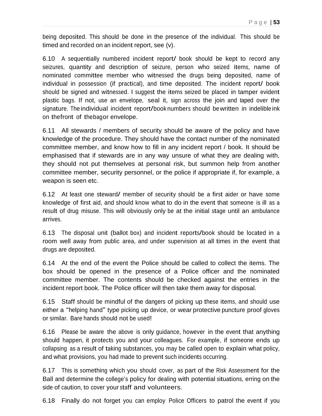being deposited. This should be done in the presence of the individual. This should be timed and recorded on an incident report, see (v).

6.10 <sup>A</sup> sequentially numbered incident report/ book should be kept to record any seizures, quantity and description of seizure, person who seized items, name of nominated committee member who witnessed the drugs being deposited, name of individual in possession (if practical), and time deposited. The incident report/ book should be signed and witnessed. I suggest the items seized be placed in tamper evident plastic bags. If not, use an envelope, seal it, sign across the join and taped over the signature. The individual incident report/book numbers should be written in indelible ink on thefront of thebagor envelope.

6.11 All stewards / members of security should be aware of the policy and have knowledge of the procedure. They should have the contact number of the nominated committee member, and know how to fill in any incident report / book. It should be emphasised that if stewards are in any way unsure of what they are dealing with, they should not put themselves at personal risk, but summon help from another committee member, security personnel, or the police if appropriate if, for example, a weapon is seen etc.

6.12 At least one steward/ member of security should be <sup>a</sup> first aider or have some knowledge of first aid, and should know what to do in the event that someone is ill as <sup>a</sup> result of drug misuse. This will obviously only be at the initial stage until an ambulance arrives.

6.13 The disposal unit (ballot box) and incident reports/book should be located in a room well away from public area, and under supervision at all times in the event that drugs are deposited.

6.14 At the end of the event the Police should be called to collect the items. The box should be opened in the presence of a Police officer and the nominated committee member. The contents should be checked against the entries in the incident report book. The Police officer will then take them away for disposal.

6.15 Staff should be mindful of the dangers of picking up these items, and should use either a "helping hand" type picking up device, or wear protective puncture proof gloves or similar. Bare hands should not be used!

6.16 Please be aware the above is only guidance, however in the event that anything should happen, it protects you and your colleagues. For example, if someone ends up collapsing as <sup>a</sup> result of taking substances, you may be called open to explain what policy, and what provisions, you had made to prevent such incidents occurring.

6.17 This is something which you should cover, as part of the Risk Assessment for the Ball and determine the college's policy for dealing with potential situations, erring on the side of caution, to cover your staff and volunteers.

6.18 Finally do not forget you can employ Police Officers to patrol the event if you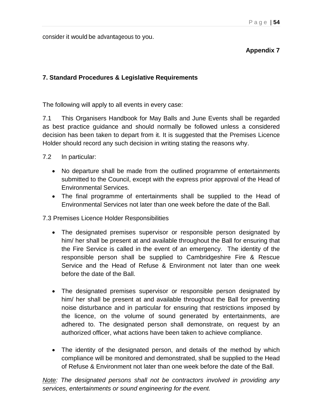consider it would be advantageous to you.

## **Appendix 7**

## **7. Standard Procedures & Legislative Requirements**

The following will apply to all events in every case:

7.1 This Organisers Handbook for May Balls and June Events shall be regarded as best practice guidance and should normally be followed unless a considered decision has been taken to depart from it. It is suggested that the Premises Licence Holder should record any such decision in writing stating the reasons why.

7.2 In particular:

- No departure shall be made from the outlined programme of entertainments submitted to the Council, except with the express prior approval of the Head of Environmental Services.
- The final programme of entertainments shall be supplied to the Head of Environmental Services not later than one week before the date of the Ball.

7.3 Premises Licence Holder Responsibilities

- The designated premises supervisor or responsible person designated by him/ her shall be present at and available throughout the Ball for ensuring that the Fire Service is called in the event of an emergency. The identity of the responsible person shall be supplied to Cambridgeshire Fire & Rescue Service and the Head of Refuse & Environment not later than one week before the date of the Ball.
- The designated premises supervisor or responsible person designated by him/ her shall be present at and available throughout the Ball for preventing noise disturbance and in particular for ensuring that restrictions imposed by the licence, on the volume of sound generated by entertainments, are adhered to. The designated person shall demonstrate, on request by an authorized officer, what actions have been taken to achieve compliance.
- The identity of the designated person, and details of the method by which compliance will be monitored and demonstrated, shall be supplied to the Head of Refuse & Environment not later than one week before the date of the Ball.

*Note: The designated persons shall not be contractors involved in providing any services, entertainments or sound engineering for the event.*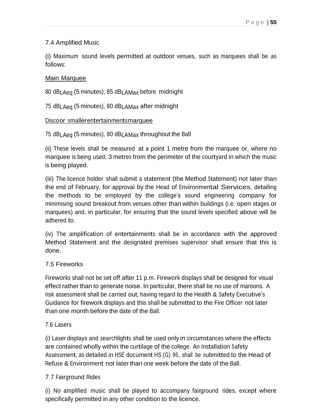## 7.4 Amplified Music

(i) Maximum sound levels permitted at outdoor venues, such as marquees shall be as follows:

## Main Marquee

<sup>80</sup> dBLAeq (5 minutes), <sup>85</sup> dBLAMax before midnight

<sup>75</sup> dBLAeq (5 minutes), <sup>80</sup> dBLAMax after midnight

#### Discoor smallerentertainmentsmarquee

<sup>75</sup> dBLAeq (5 minutes), <sup>80</sup> dBLAMax throughout the Ball

(ii) These levels shall be measured at a point 1 metre from the marquee or, where no marquee is being used, 3 metres from the perimeter of the courtyard in which the music is being played.

(iii) The licence holder shall submit <sup>a</sup> statement (the Method Statement) not later than the end of February, for approval by the Head of Environmental Services, detailing the methods to be employed by the college's sound engineering company for minimising sound breakout from venues other than within buildings (i.e. open stages or marquees) and, in particular, for ensuring that the sound levels specified above will be adhered to.

(iv) The amplification of entertainments shall be in accordance with the approved Method Statement and the designated premises supervisor shall ensure that this is done.

## 7.5 Fireworks

Fireworks shall not be set off after 11 p.m. Firework displays shall be designed for visual effect rather than to generate noise. In particular, there shall be no use of maroons. A risk assessment shall be carried out; having regard to the Health & Safety Executive's Guidance for firework displays and this shall be submitted to the Fire Officer not later than one month before the date of the Ball.

## 7.6 Lasers

(i) Laser displays and searchlights shall be used only in circumstances where the effects are contained wholly within the curtilage of the college. An Installation Safety Assessment, as detailed in HSE document HS (G) 95, shall be submitted to the Head of Refuse & Environment not later than one week before the date of the Ball.

## 7.7 Fairground Rides

(i) No amplified music shall be played to accompany fairground rides, except where specifically permitted in any other condition to the licence.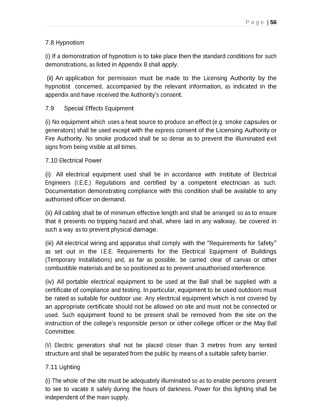## 7.8 Hypnotism

(i) If <sup>a</sup> demonstration of hypnotism is to take place then the standard conditions for such demonstrations, as listed in Appendix 8 shall apply.

(ii) An application for permission must be made to the Licensing Authority by the hypnotist concerned, accompanied by the relevant information, as indicated in the appendix and have received the Authority's consent.

#### 7.9 Special Effects Equipment

(i) No equipment which uses a heat source to produce an effect (e.g. smoke capsules or generators) shall be used except with the express consent of the Licensing Authority or Fire Authority. No smoke produced shall be so dense as to prevent the illuminated exit signs from being visible at all times.

#### 7.10 Electrical Power

(i) All electrical equipment used shall be in accordance with Institute of Electrical Engineers (I.E.E.) Regulations and certified by a competent electrician as such. Documentation demonstrating compliance with this condition shall be available to any authorised officer on demand.

(ii) All cabling shall be of minimum effective length and shall be arranged so as to ensure that it presents no tripping hazard and shall, where laid in any walkway, be covered in such a way as to prevent physical damage.

(iii) All electrical wiring and apparatus shall comply with the "Requirements for Safety" as set out in the I.E.E. Requirements for the Electrical Equipment of Buildings (Temporary Installations) and, as far as possible, be carried clear of canvas or other combustible materials and be so positioned as to prevent unauthorised interference.

(iv) All portable electrical equipment to be used at the Ball shall be supplied with a certificate of compliance and testing. In particular, equipment to be used outdoors must be rated as suitable for outdoor use. Any electrical equipment which is not covered by an appropriate certificate should not be allowed on site and must not be connected or used. Such equipment found to be present shall be removed from the site on the instruction of the college's responsible person or other college officer or the May Ball Committee.

(V) Electric generators shall not be placed closer than 3 metres from any tented structure and shall be separated from the public by means of <sup>a</sup> suitable safety barrier.

## 7.11 Lighting

(i) The whole of the site must be adequately illuminated so as to enable persons present to see to vacate it safely during the hours of darkness. Power for this lighting shall be independent of the main supply.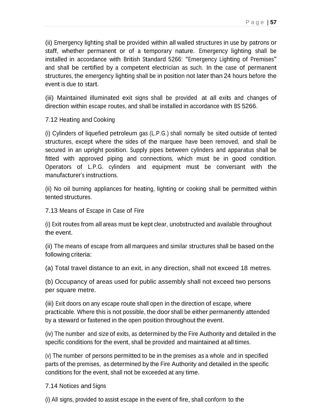(ii) Emergency lighting shall be provided within all walled structures in use by patrons or staff, whether permanent or of <sup>a</sup> temporary nature. Emergency lighting shall be installed in accordance with British Standard 5266: "Emergency Lighting of Premises" and shall be certified by a competent electrician as such. In the case of permanent structures, the emergency lighting shall be in position not later than 24 hours before the event is due to start.

(iii) Maintained illuminated exit signs shall be provided at all exits and changes of direction within escape routes, and shall be installed in accordance with BS 5266.

7.12 Heating and Cooking

(i) Cylinders of liquefied petroleum gas (L.P.G.) shall normally be sited outside of tented structures, except where the sides of the marquee have been removed, and shall be secured in an upright position. Supply pipes between cylinders and apparatus shall be fitted with approved piping and connections, which must be in good condition. Operators of L.P.G. cylinders and equipment must be conversant with the manufacturer's instructions.

(ii) No oil burning appliances for heating, lighting or cooking shall be permitted within tented structures.

7.13 Means of Escape in Case of Fire

(i) Exit routes from all areas must be kept clear, unobstructed and available throughout the event.

(ii) The means of escape from all marquees and similar structures shall be based on the following criteria:

(a) Total travel distance to an exit, in any direction, shall not exceed 18 metres.

(b) Occupancy of areas used for public assembly shall not exceed two persons per square metre.

(iii) Exit doors on any escape route shall open in the direction of escape, where practicable. Where this is not possible, the door shall be either permanently attended by a steward or fastened in the open position throughout the event.

(iv) The number and size of exits, as determined by the Fire Authority and detailed in the specific conditions for the event, shall be provided and maintained at all times.

(v) The number of persons permitted to be in the premises as a whole and in specified parts of the premises, as determined by the Fire Authority and detailed in the specific conditions for the event, shall not be exceeded at any time.

#### 7.14 Notices and Signs

(i) All signs, provided to assist escape in the event of fire, shall conform to the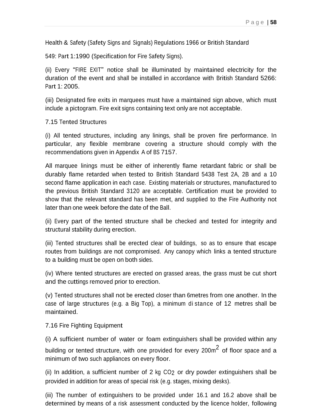Health & Safety (Safety Signs and Signals) Regulations 1966 or British Standard

549: Part 1:1990 (Specification for Fire Safety Signs).

(ii) Every "FIRE EXIT" notice shall be illuminated by maintained electricity for the duration of the event and shall be installed in accordance with British Standard 5266: Part 1: 2005.

(iii) Designated fire exits in marquees must have a maintained sign above, which must include a pictogram. Fire exit signs containing text only are not acceptable.

7.15 Tented Structures

(i) All tented structures, including any linings, shall be proven fire performance. In particular, any flexible membrane covering a structure should comply with the recommendations given in Appendix A of BS 7157.

All marquee linings must be either of inherently flame retardant fabric or shall be durably flame retarded when tested to British Standard 5438 Test 2A, 2B and a 10 second flame application in each case. Existing materials or structures, manufactured to the previous British Standard 3120 are acceptable. Certification must be provided to show that the relevant standard has been met, and supplied to the Fire Authority not later than one week before the date of the Ball.

(ii) Every part of the tented structure shall be checked and tested for integrity and structural stability during erection.

(iii) Tented structures shall be erected clear of buildings, so as to ensure that escape routes from buildings are not compromised. Any canopy which links a tented structure to a building must be open on both sides.

(iv) Where tented structures are erected on grassed areas, the grass must be cut short and the cuttings removed prior to erection.

(v) Tented structures shall not be erected closer than 6metres from one another. In the case of large structures (e.g. a Big Top), a minimum di stance of 12 metres shall be maintained.

7.16 Fire Fighting Equipment

(i) A sufficient number of water or foam extinguishers shall be provided within any building or tented structure, with one provided for every 200m $^2$  of floor space and a minimum of two such appliances on every floor.

(ii) In addition, <sup>a</sup> sufficient number of 2 kg CO2 or dry powder extinguishers shall be provided in addition for areas of special risk (e.g. stages, mixing desks).

(iii) The number of extinguishers to be provided under 16.1 and 16.2 above shall be determined by means of a risk assessment conducted by the licence holder, following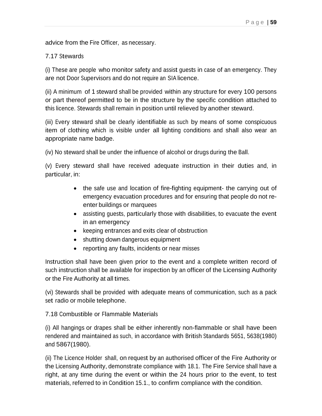advice from the Fire Officer, as necessary.

#### 7.17 Stewards

(i) These are people who monitor safety and assist guests in case of an emergency. They are not Door Supervisors and do not require an SIA licence.

(ii) A minimum of 1 steward shall be provided within any structure for every 100 persons or part thereof permitted to be in the structure by the specific condition attached to this licence. Stewards shall remain in position until relieved by another steward.

(iii) Every steward shall be clearly identifiable as such by means of some conspicuous item of clothing which is visible under all lighting conditions and shall also wear an appropriate name badge.

(iv) No steward shall be under the influence of alcohol or drugs during the Ball.

(v) Every steward shall have received adequate instruction in their duties and, in particular, in:

- the safe use and location of fire-fighting equipment- the carrying out of emergency evacuation procedures and for ensuring that people do not reenter buildings or marquees
- assisting guests, particularly those with disabilities, to evacuate the event in an emergency
- keeping entrances and exits clear of obstruction
- shutting down dangerous equipment
- reporting any faults, incidents or near misses

Instruction shall have been given prior to the event and a complete written record of such instruction shall be available for inspection by an officer of the Licensing Authority or the Fire Authority at all times.

(vi) Stewards shall be provided with adequate means of communication, such as a pack set radio or mobile telephone.

7.18 Combustible or Flammable Materials

(i) All hangings or drapes shall be either inherently non-flammable or shall have been rendered and maintained as such, in accordance with British Standards 5651, 5638(1980) and 5867(1980).

(ii) The Licence Holder shall, on request by an authorised officer of the Fire Authority or the Licensing Authority, demonstrate compliance with 18.1. The Fire Service shall have a right, at any time during the event or within the 24 hours prior to the event, to test materials, referred to in Condition 15.1., to confirm compliance with the condition.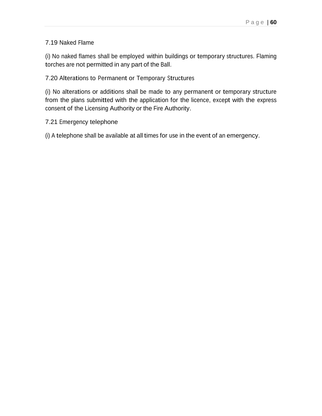#### 7.19 Naked Flame

(i) No naked flames shall be employed within buildings or temporary structures. Flaming torches are not permitted in any part of the Ball.

#### 7.20 Alterations to Permanent or Temporary Structures

(i) No alterations or additions shall be made to any permanent or temporary structure from the plans submitted with the application for the licence, except with the express consent of the Licensing Authority or the Fire Authority.

#### 7.21 Emergency telephone

(i) A telephone shall be available at all times for use in the event of an emergency.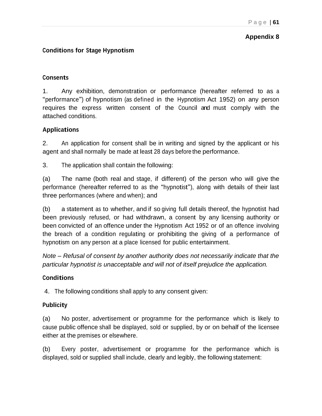#### **Appendix 8**

## **Conditions for Stage Hypnotism**

#### **Consents**

1. Any exhibition, demonstration or performance (hereafter referred to as <sup>a</sup> "performance") of hypnotism (as defined in the Hypnotism Act 1952) on any person requires the express written consent of the Council and must comply with the attached conditions.

#### **Applications**

2. An application for consent shall be in writing and signed by the applicant or his agent and shall normally be made at least 28 days before the performance.

3. The application shall contain the following:

(a) The name (both real and stage, if different) of the person who will give the performance (hereafter referred to as the "hypnotist"), along with details of their last three performances (where and when); and

(b) a statement as to whether, and if so giving full details thereof, the hypnotist had been previously refused, or had withdrawn, a consent by any licensing authority or been convicted of an offence under the Hypnotism Act 1952 or of an offence involving the breach of a condition regulating or prohibiting the giving of a performance of hypnotism on any person at a place licensed for public entertainment.

*Note – Refusal of consent by another authority does not necessarily indicate that the particular hypnotist is unacceptable and will not of itself prejudice the application.*

#### **Conditions**

4. The following conditions shall apply to any consent given:

#### **Publicity**

(a) No poster, advertisement or programme for the performance which is likely to cause public offence shall be displayed, sold or supplied, by or on behalf of the licensee either at the premises or elsewhere.

(b) Every poster, advertisement or programme for the performance which is displayed, sold or supplied shall include, clearly and legibly, the following statement: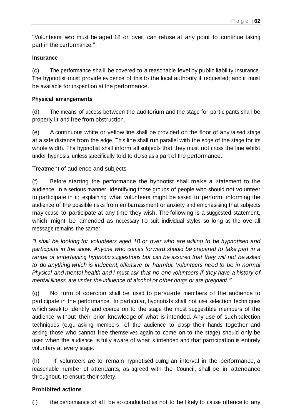"Volunteers, who must be aged 18 or over, can refuse at any point to continue taking part in the performance."

#### **Insurance**

(c) The performance sha ll be covered to a reasonable level by public liability insurance. The hypnotist must provide evidence of this to the local authority if requested; and it must be available for inspection at the performance.

#### **Physical arrangements**

(d) The means of access between the auditorium and the stage for participants shall be properly lit and free from obstruction.

(e) A continuous white or yellow line shall be provided on the floor of any raised stage at a safe distance from the edge. This line shall run parallel with the edge of the stage for its whole width. The hypnotist shall inform all subjects that they must not cross the line whilst under hypnosis, unless specifically told to do so as a part of the performance.

Treatment of audience and subjects

(f) Before starting the performance the hypnotist shall make a statement to the audience, in a serious manner, identifying those groups of people who should not volunteer to participate in it; explaining what volunteers might be asked to perform; informing the audience of the possible risks from embarrassment or anxiety and emphasising that subjects may cease to participate at any time they wish. The following is a suggested statement, which might be amended as necessary to suit individual styles so long as the overall message remains the same:

*"I shall be looking for volunteers aged 18 or over who are willing to be hypnotised and participate in the show. Anyone who comes forward should be prepared to take part in a range of entertaining hypnotic suggestions but can be assured that they will not be asked to do anything which is indecent, offensive or harmful. Volunteers need to be in normal Physical and mental health and I must ask that no-one volunteers if they have a history of mental illness, are under the influence of alcohol or other drugs or are pregnant."*

(g) No form of coercion shall be used to persuade members of the audience to participate in the performance. In particular, hypnotists shall not use selection techniques which seek to identify and coerce on to the stage the most suggestible members of the audience without their prior knowledge of what is intended. Any use of such selection techniques (e.g., asking members of the audience to clasp their hands together and asking those who cannot free themselves again to come on to the stage) should only be used when the audience is fully aware of what is intended and that participation is entirely voluntary at every stage.

(h) If volunteers are to remain hypnotised during an interval in the performance, a reasonable number of attendants, as agreed with the Council, shall be in attendance throughout, to ensure their safety.

#### **Prohibited actions**

 $(1)$  the performance shall be so conducted as not to be likely to cause offence to any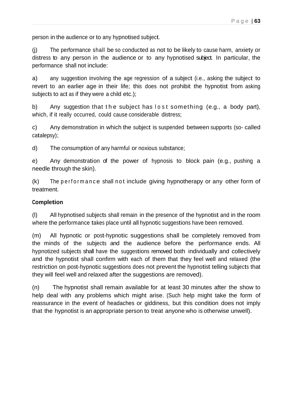person in the audience or to any hypnotised subject.

(j) The performance shall be so conducted as not to be likely to cause harm, anxiety or distress to any person in the audience or to any hypnotised subject. In particular, the performance shall not include:

a) any suggestion involving the age regression of a subject (i.e., asking the subject to revert to an earlier age in their life; this does not prohibit the hypnotist from asking subjects to act as if they were a child etc.);

b) Any suggestion that the subject has lost something (e.g., a body part), which, if it really occurred, could cause considerable distress;

c) Any demonstration in which the subject is suspended between supports (so- called catalepsy);

d) The consumption of any harmful or noxious substance;

e) Any demonstration of the power of hypnosis to block pain (e.g., pushing a needle through the skin).

 $(k)$  The perform ance shall not include giving hypnotherapy or any other form of treatment.

#### **Completion**

(l) All hypnotised subjects shall remain in the presence of the hypnotist and in the room where the performance takes place until all hypnotic suggestions have been removed.

(m) All hypnotic or post-hypnotic suggestions shall be completely removed from the minds of the subjects and the audience before the performance ends. All hypnotized subjects shall have the suggestions removed both individually and collectively and the hypnotist shall confirm with each of them that they feel well and relaxed (the restriction on post-hypnotic suggestions does not prevent the hypnotist telling subjects that they will feel well and relaxed after the suggestions are removed).

(n) The hypnotist shall remain available for at least 30 minutes after the show to help deal with any problems which might arise. (Such help might take the form of reassurance in the event of headaches or giddiness, but this condition does not imply that the hypnotist is an appropriate person to treat anyone who is otherwise unwell).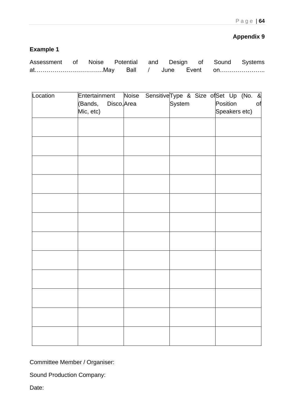## **Appendix 9**

## **Example 1**

| Assessment of Noise Potential and Design of Sound Systems |  |  |  |  |
|-----------------------------------------------------------|--|--|--|--|
|                                                           |  |  |  |  |

| Location | Entertainment                       | Noise |        | Sensitive Type & Size of Set Up (No. & |
|----------|-------------------------------------|-------|--------|----------------------------------------|
|          | Disco, Area<br>(Bands,<br>Mic, etc) |       | System | Position<br>of<br>Speakers etc)        |
|          |                                     |       |        |                                        |
|          |                                     |       |        |                                        |
|          |                                     |       |        |                                        |
|          |                                     |       |        |                                        |
|          |                                     |       |        |                                        |
|          |                                     |       |        |                                        |
|          |                                     |       |        |                                        |
|          |                                     |       |        |                                        |
|          |                                     |       |        |                                        |
|          |                                     |       |        |                                        |
|          |                                     |       |        |                                        |
|          |                                     |       |        |                                        |
|          |                                     |       |        |                                        |
|          |                                     |       |        |                                        |
|          |                                     |       |        |                                        |
|          |                                     |       |        |                                        |
|          |                                     |       |        |                                        |
|          |                                     |       |        |                                        |
|          |                                     |       |        |                                        |
|          |                                     |       |        |                                        |
|          |                                     |       |        |                                        |
|          |                                     |       |        |                                        |

Committee Member / Organiser:

Sound Production Company:

Date: